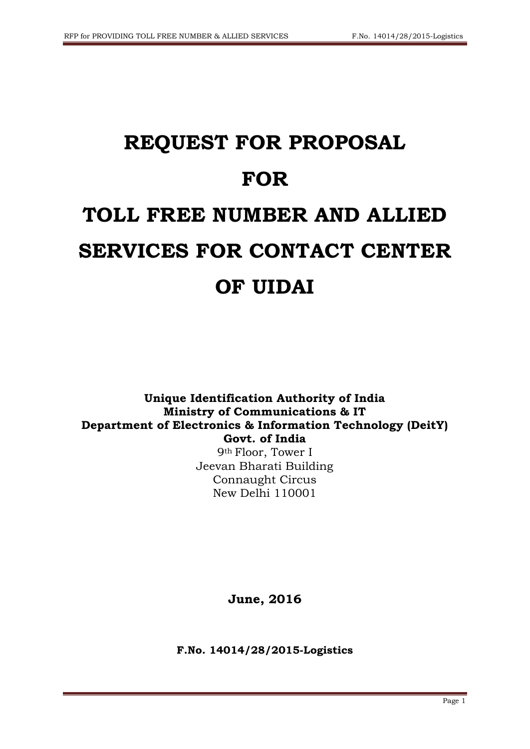# **REQUEST FOR PROPOSAL FOR TOLL FREE NUMBER AND ALLIED SERVICES FOR CONTACT CENTER OF UIDAI**

**Unique Identification Authority of India Ministry of Communications & IT Department of Electronics & Information Technology (DeitY) Govt. of India**

> 9th Floor, Tower I Jeevan Bharati Building Connaught Circus New Delhi 110001

> > **June, 2016**

**F.No. 14014/28/2015-Logistics**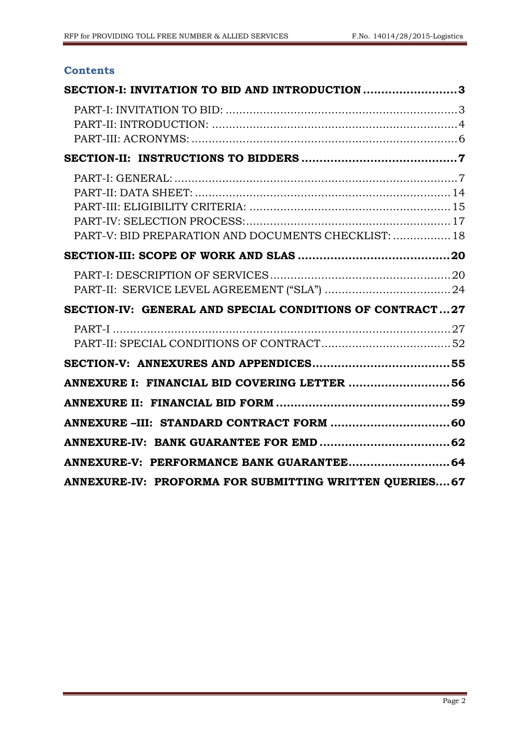#### **Contents**

| SECTION-I: INVITATION TO BID AND INTRODUCTION 3          |  |
|----------------------------------------------------------|--|
|                                                          |  |
|                                                          |  |
|                                                          |  |
|                                                          |  |
|                                                          |  |
|                                                          |  |
|                                                          |  |
|                                                          |  |
| PART-V: BID PREPARATION AND DOCUMENTS CHECKLIST:  18     |  |
|                                                          |  |
|                                                          |  |
|                                                          |  |
| SECTION-IV: GENERAL AND SPECIAL CONDITIONS OF CONTRACT27 |  |
|                                                          |  |
|                                                          |  |
|                                                          |  |
| ANNEXURE I: FINANCIAL BID COVERING LETTER 56             |  |
|                                                          |  |
|                                                          |  |
|                                                          |  |
| ANNEXURE-V: PERFORMANCE BANK GUARANTEE 64                |  |
| ANNEXURE-IV: PROFORMA FOR SUBMITTING WRITTEN OUERIES67   |  |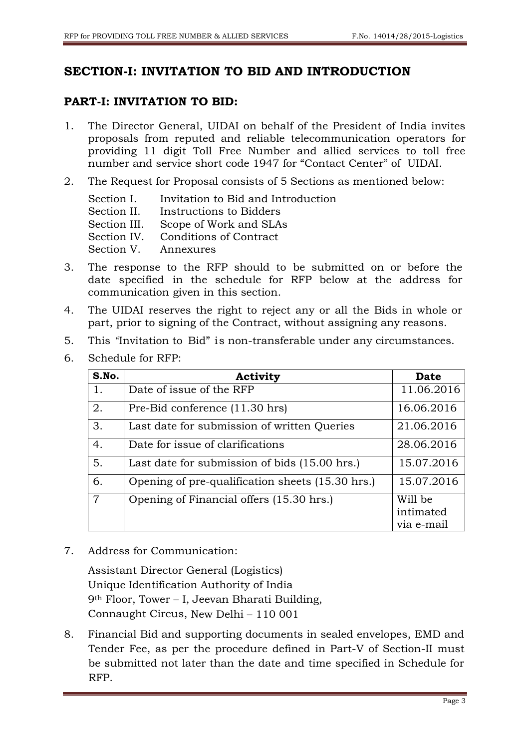## <span id="page-2-0"></span>**SECTION-I: INVITATION TO BID AND INTRODUCTION**

#### <span id="page-2-1"></span>**PART-I: INVITATION TO BID:**

- 1. The Director General, UIDAI on behalf of the President of India invites proposals from reputed and reliable telecommunication operators for providing 11 digit Toll Free Number and allied services to toll free number and service short code 1947 for "Contact Center" of UIDAI.
- 2. The Request for Proposal consists of 5 Sections as mentioned below:
	- Section I. Invitation to Bid and Introduction Section II. Instructions to Bidders Section III. Scope of Work and SLAs Section IV. Conditions of Contract

Section V. Annexures

- 3. The response to the RFP should to be submitted on or before the date specified in the schedule for RFP below at the address for communication given in this section.
- 4. The UIDAI reserves the right to reject any or all the Bids in whole or part, prior to signing of the Contract, without assigning any reasons.
- 5. This "Invitation to Bid" is non-transferable under any circumstances.
- 6. Schedule for RFP:

| S.No.          | <b>Activity</b>                                  | <b>Date</b> |
|----------------|--------------------------------------------------|-------------|
| 1.             | Date of issue of the RFP                         | 11.06.2016  |
| 2.             | Pre-Bid conference (11.30 hrs)                   | 16.06.2016  |
| 3.             | Last date for submission of written Queries      | 21.06.2016  |
| 4.             | Date for issue of clarifications                 | 28.06.2016  |
| 5.             | Last date for submission of bids (15.00 hrs.)    | 15.07.2016  |
| 6.             | Opening of pre-qualification sheets (15.30 hrs.) | 15.07.2016  |
| $\overline{7}$ | Opening of Financial offers (15.30 hrs.)         | Will be     |
|                |                                                  | intimated   |
|                |                                                  | via e-mail  |

7. Address for Communication:

Assistant Director General (Logistics) Unique Identification Authority of India 9th Floor, Tower – I, Jeevan Bharati Building, Connaught Circus, New Delhi – 110 001

8. Financial Bid and supporting documents in sealed envelopes, EMD and Tender Fee, as per the procedure defined in Part-V of Section-II must be submitted not later than the date and time specified in Schedule for RFP.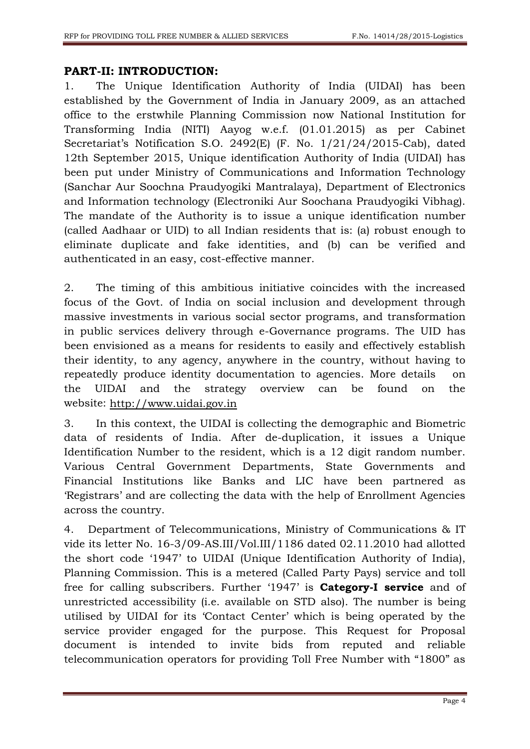## <span id="page-3-0"></span>**PART-II: INTRODUCTION:**

1. The Unique Identification Authority of India (UIDAI) has been established by the Government of India in January 2009, as an attached office to the erstwhile Planning Commission now National Institution for Transforming India (NITI) Aayog w.e.f. (01.01.2015) as per Cabinet Secretariat's Notification S.O. 2492(E) (F. No. 1/21/24/2015-Cab), dated 12th September 2015, Unique identification Authority of India (UIDAI) has been put under Ministry of Communications and Information Technology (Sanchar Aur Soochna Praudyogiki Mantralaya), Department of Electronics and Information technology (Electroniki Aur Soochana Praudyogiki Vibhag). The mandate of the Authority is to issue a unique identification number (called Aadhaar or UID) to all Indian residents that is: (a) robust enough to eliminate duplicate and fake identities, and (b) can be verified and authenticated in an easy, cost-effective manner.

2. The timing of this ambitious initiative coincides with the increased focus of the Govt. of India on social inclusion and development through massive investments in various social sector programs, and transformation in public services delivery through e-Governance programs. The UID has been envisioned as a means for residents to easily and effectively establish their identity, to any agency, anywhere in the country, without having to repeatedly produce identity documentation to agencies. More details on the UIDAI and the strategy overview can be found on the website: [http://www.uidai.gov.in](http://www.uidai.gov.in/) 

3. In this context, the UIDAI is collecting the demographic and Biometric data of residents of India. After de-duplication, it issues a Unique Identification Number to the resident, which is a 12 digit random number. Various Central Government Departments, State Governments and Financial Institutions like Banks and LIC have been partnered as 'Registrars' and are collecting the data with the help of Enrollment Agencies across the country.

4. Department of Telecommunications, Ministry of Communications & IT vide its letter No. 16-3/09-AS.III/Vol.III/1186 dated 02.11.2010 had allotted the short code "1947" to UIDAI (Unique Identification Authority of India), Planning Commission. This is a metered (Called Party Pays) service and toll free for calling subscribers. Further "1947" is **Category-I service** and of unrestricted accessibility (i.e. available on STD also). The number is being utilised by UIDAI for its "Contact Center" which is being operated by the service provider engaged for the purpose. This Request for Proposal document is intended to invite bids from reputed and reliable telecommunication operators for providing Toll Free Number with "1800" as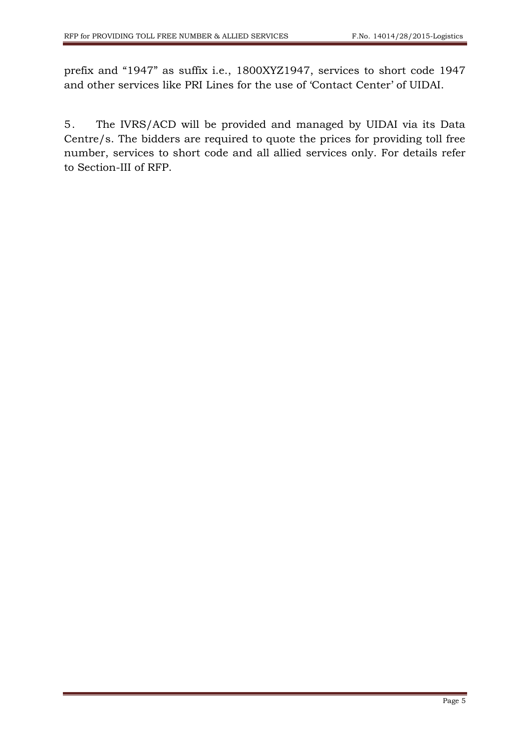prefix and "1947" as suffix i.e., 1800XYZ1947, services to short code 1947 and other services like PRI Lines for the use of "Contact Center" of UIDAI.

5. The IVRS/ACD will be provided and managed by UIDAI via its Data Centre/s. The bidders are required to quote the prices for providing toll free number, services to short code and all allied services only. For details refer to Section-III of RFP.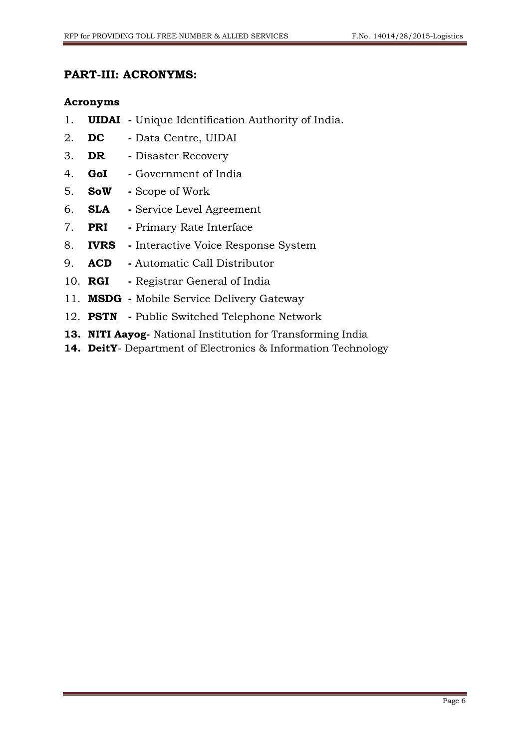## <span id="page-5-0"></span>**PART-III: ACRONYMS:**

#### **Acronyms**

- 1. **UIDAI -** Unique Identification Authority of India.
- 2. **DC -** Data Centre, UIDAI
- 3. **DR -** Disaster Recovery
- 4. **GoI -** Government of India
- 5. **SoW -** Scope of Work
- 6. **SLA -** Service Level Agreement
- 7. **PRI -** Primary Rate Interface
- 8. **IVRS -** Interactive Voice Response System
- 9. **ACD -** Automatic Call Distributor
- 10. **RGI -** Registrar General of India
- 11. **MSDG -** Mobile Service Delivery Gateway
- 12. **PSTN -** Public Switched Telephone Network
- **13. NITI Aayog-** National Institution for Transforming India
- **14. DeitY** Department of Electronics & Information Technology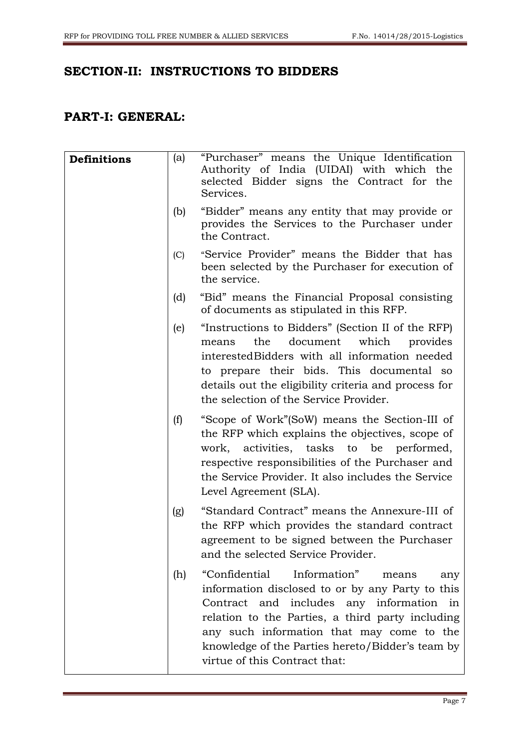## <span id="page-6-0"></span>**SECTION-II: INSTRUCTIONS TO BIDDERS**

## <span id="page-6-1"></span>**PART-I: GENERAL:**

| <b>Definitions</b> | (a) | "Purchaser" means the Unique Identification<br>Authority of India (UIDAI) with which the<br>selected Bidder signs the Contract for the<br>Services.                                                                                                                                                                                 |
|--------------------|-----|-------------------------------------------------------------------------------------------------------------------------------------------------------------------------------------------------------------------------------------------------------------------------------------------------------------------------------------|
|                    | (b) | "Bidder" means any entity that may provide or<br>provides the Services to the Purchaser under<br>the Contract.                                                                                                                                                                                                                      |
|                    | (C) | "Service Provider" means the Bidder that has<br>been selected by the Purchaser for execution of<br>the service.                                                                                                                                                                                                                     |
|                    | (d) | "Bid" means the Financial Proposal consisting<br>of documents as stipulated in this RFP.                                                                                                                                                                                                                                            |
|                    | (e) | "Instructions to Bidders" (Section II of the RFP)<br>the<br>document<br>which<br>provides<br>means<br>interested Bidders with all information needed<br>to prepare their bids. This documental so<br>details out the eligibility criteria and process for<br>the selection of the Service Provider.                                 |
|                    | (f) | "Scope of Work" (SoW) means the Section-III of<br>the RFP which explains the objectives, scope of<br>work, activities, tasks to be performed,<br>respective responsibilities of the Purchaser and<br>the Service Provider. It also includes the Service<br>Level Agreement (SLA).                                                   |
|                    | (g) | "Standard Contract" means the Annexure-III of<br>the RFP which provides the standard contract<br>agreement to be signed between the Purchaser<br>and the selected Service Provider.                                                                                                                                                 |
|                    | (h) | Information"<br>"Confidential<br>means<br>any<br>information disclosed to or by any Party to this<br>Contract and includes any information in<br>relation to the Parties, a third party including<br>any such information that may come to the<br>knowledge of the Parties hereto/Bidder's team by<br>virtue of this Contract that: |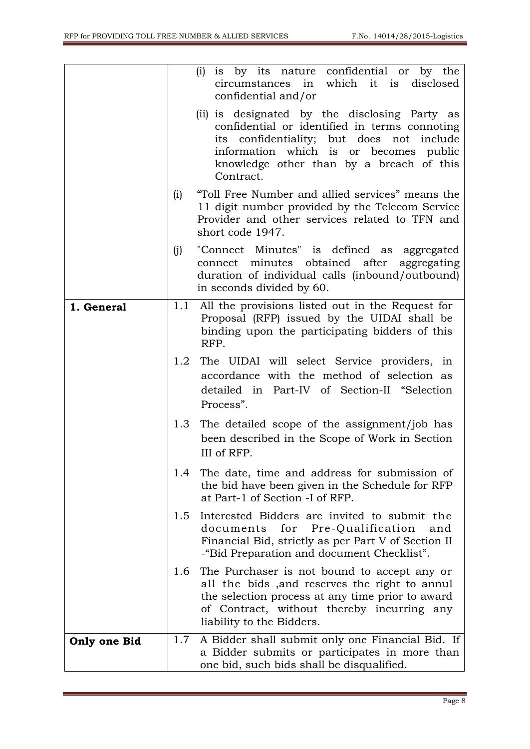|              |     | is by its nature confidential or by the<br>(i)<br>circumstances in which it is disclosed<br>confidential and/or                                                                                                                                   |
|--------------|-----|---------------------------------------------------------------------------------------------------------------------------------------------------------------------------------------------------------------------------------------------------|
|              |     | (ii) is designated by the disclosing Party as<br>confidential or identified in terms connoting<br>confidentiality; but does not include<br>its<br>information which is or becomes public<br>knowledge other than by a breach of this<br>Contract. |
|              | (i) | "Toll Free Number and allied services" means the<br>11 digit number provided by the Telecom Service<br>Provider and other services related to TFN and<br>short code 1947.                                                                         |
|              | (j) | "Connect Minutes" is defined as aggregated<br>connect minutes obtained after aggregating<br>duration of individual calls (inbound/outbound)<br>in seconds divided by 60.                                                                          |
| 1. General   | 1.1 | All the provisions listed out in the Request for<br>Proposal (RFP) issued by the UIDAI shall be<br>binding upon the participating bidders of this<br>RFP.                                                                                         |
|              | 1.2 | The UIDAI will select Service providers, in<br>accordance with the method of selection as<br>detailed in Part-IV of Section-II "Selection<br>Process".                                                                                            |
|              |     | 1.3 The detailed scope of the assignment/job has<br>been described in the Scope of Work in Section<br>III of RFP.                                                                                                                                 |
|              | 1.4 | The date, time and address for submission of<br>the bid have been given in the Schedule for RFP<br>at Part-1 of Section -I of RFP.                                                                                                                |
|              | 1.5 | Interested Bidders are invited to submit the<br>for<br>Pre-Qualification<br>documents<br>and<br>Financial Bid, strictly as per Part V of Section II<br>-"Bid Preparation and document Checklist".                                                 |
|              |     | 1.6 The Purchaser is not bound to accept any or<br>all the bids, and reserves the right to annul<br>the selection process at any time prior to award<br>of Contract, without thereby incurring any<br>liability to the Bidders.                   |
| Only one Bid | 1.7 | A Bidder shall submit only one Financial Bid. If<br>a Bidder submits or participates in more than<br>one bid, such bids shall be disqualified.                                                                                                    |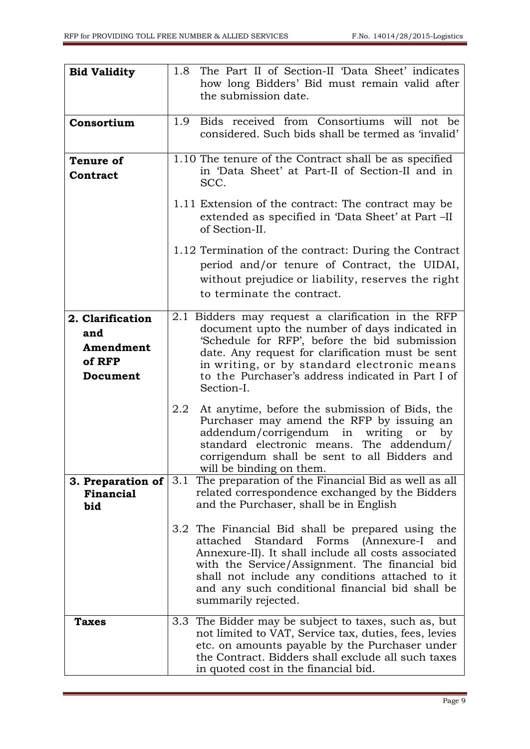| <b>Bid Validity</b>                                        | 1.8 The Part II of Section-II 'Data Sheet' indicates<br>how long Bidders' Bid must remain valid after<br>the submission date.                                                                                                                                                                                                      |
|------------------------------------------------------------|------------------------------------------------------------------------------------------------------------------------------------------------------------------------------------------------------------------------------------------------------------------------------------------------------------------------------------|
| Consortium                                                 | Bids received from Consortiums will not be<br>1.9<br>considered. Such bids shall be termed as 'invalid'                                                                                                                                                                                                                            |
| <b>Tenure of</b><br>Contract                               | 1.10 The tenure of the Contract shall be as specified<br>in 'Data Sheet' at Part-II of Section-II and in<br>SCC.                                                                                                                                                                                                                   |
|                                                            | 1.11 Extension of the contract: The contract may be<br>extended as specified in 'Data Sheet' at Part -II<br>of Section-II.                                                                                                                                                                                                         |
|                                                            | 1.12 Termination of the contract: During the Contract<br>period and/or tenure of Contract, the UIDAI,<br>without prejudice or liability, reserves the right<br>to terminate the contract.                                                                                                                                          |
| 2. Clarification<br>and<br>Amendment<br>of RFP<br>Document | 2.1 Bidders may request a clarification in the RFP<br>document upto the number of days indicated in<br>Schedule for RFP', before the bid submission<br>date. Any request for clarification must be sent<br>in writing, or by standard electronic means<br>to the Purchaser's address indicated in Part I of<br>Section-I.          |
|                                                            | $2.2\,$<br>At anytime, before the submission of Bids, the<br>Purchaser may amend the RFP by issuing an<br>addendum/corrigendum in writing<br>or<br>by<br>standard electronic means. The addendum/<br>corrigendum shall be sent to all Bidders and<br>will be binding on them.                                                      |
| 3. Preparation of<br>Financial<br>bid                      | The preparation of the Financial Bid as well as all<br>3.1<br>related correspondence exchanged by the Bidders<br>and the Purchaser, shall be in English                                                                                                                                                                            |
|                                                            | 3.2 The Financial Bid shall be prepared using the<br>attached Standard Forms (Annexure-I and<br>Annexure-II). It shall include all costs associated<br>with the Service/Assignment. The financial bid<br>shall not include any conditions attached to it<br>and any such conditional financial bid shall be<br>summarily rejected. |
| <b>Taxes</b>                                               | 3.3 The Bidder may be subject to taxes, such as, but<br>not limited to VAT, Service tax, duties, fees, levies<br>etc. on amounts payable by the Purchaser under<br>the Contract. Bidders shall exclude all such taxes<br>in quoted cost in the financial bid.                                                                      |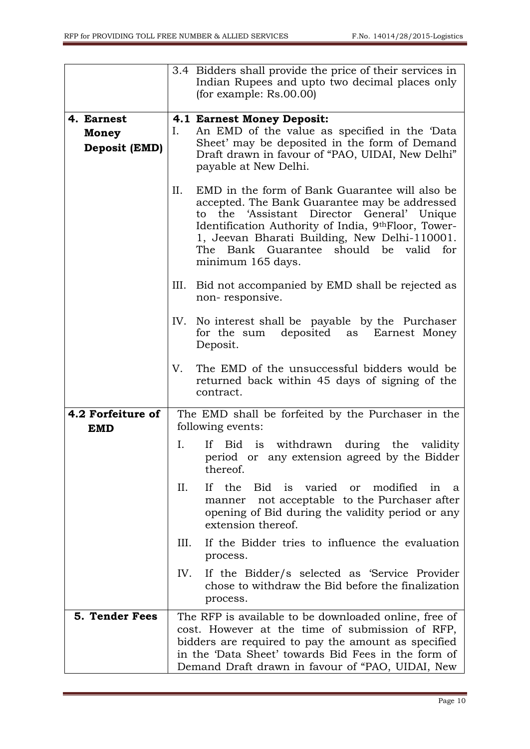|                                                    | 3.4 Bidders shall provide the price of their services in<br>Indian Rupees and upto two decimal places only<br>(for example: $Rs.00.00$ )                                                                                                                                                                          |           |
|----------------------------------------------------|-------------------------------------------------------------------------------------------------------------------------------------------------------------------------------------------------------------------------------------------------------------------------------------------------------------------|-----------|
| 4. Earnest<br><b>Money</b><br><b>Deposit (EMD)</b> | 4.1 Earnest Money Deposit:<br>An EMD of the value as specified in the 'Data<br>Ι.<br>Sheet' may be deposited in the form of Demand<br>Draft drawn in favour of "PAO, UIDAI, New Delhi"<br>payable at New Delhi.                                                                                                   |           |
|                                                    | EMD in the form of Bank Guarantee will also be<br>Π.<br>accepted. The Bank Guarantee may be addressed<br>to the 'Assistant Director General' Unique<br>Identification Authority of India, 9th Floor, Tower-<br>1, Jeevan Bharati Building, New Delhi-110001.<br>The Bank Guarantee should be<br>minimum 165 days. | valid for |
|                                                    | Bid not accompanied by EMD shall be rejected as<br>III.<br>non-responsive.                                                                                                                                                                                                                                        |           |
|                                                    | No interest shall be payable by the Purchaser<br>IV.<br>for the sum deposited<br>as Earnest Money<br>Deposit.                                                                                                                                                                                                     |           |
|                                                    | The EMD of the unsuccessful bidders would be<br>V.<br>returned back within 45 days of signing of the<br>contract.                                                                                                                                                                                                 |           |
| 4.2 Forfeiture of<br><b>EMD</b>                    | The EMD shall be forfeited by the Purchaser in the<br>following events:                                                                                                                                                                                                                                           |           |
|                                                    | I.<br>If Bid is withdrawn during the validity<br>period or any extension agreed by the Bidder<br>thereof.                                                                                                                                                                                                         |           |
|                                                    | If the<br>Ш.<br>Bid is varied or modified<br>not acceptable to the Purchaser after<br>manner<br>opening of Bid during the validity period or any<br>extension thereof.                                                                                                                                            | in a      |
|                                                    | If the Bidder tries to influence the evaluation<br>III.<br>process.                                                                                                                                                                                                                                               |           |
|                                                    | If the Bidder/s selected as 'Service Provider<br>IV.<br>chose to withdraw the Bid before the finalization<br>process.                                                                                                                                                                                             |           |
| 5. Tender Fees                                     | The RFP is available to be downloaded online, free of<br>cost. However at the time of submission of RFP,<br>bidders are required to pay the amount as specified<br>in the 'Data Sheet' towards Bid Fees in the form of<br>Demand Draft drawn in favour of "PAO, UIDAI, New                                        |           |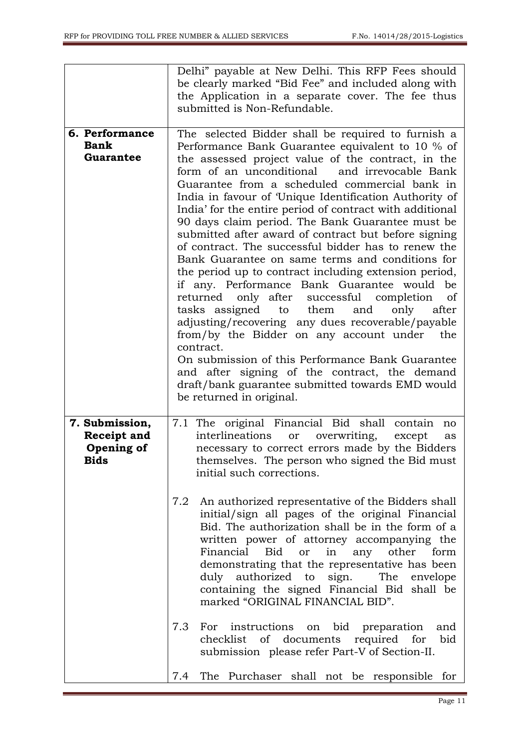|                                                                   | Delhi" payable at New Delhi. This RFP Fees should<br>be clearly marked "Bid Fee" and included along with<br>the Application in a separate cover. The fee thus<br>submitted is Non-Refundable.                                                                                                                                                                                                                                                                                                                                                                                                                                                                                                                                                                                                                                                                                                                                                                                                                                                                                                                                                 |
|-------------------------------------------------------------------|-----------------------------------------------------------------------------------------------------------------------------------------------------------------------------------------------------------------------------------------------------------------------------------------------------------------------------------------------------------------------------------------------------------------------------------------------------------------------------------------------------------------------------------------------------------------------------------------------------------------------------------------------------------------------------------------------------------------------------------------------------------------------------------------------------------------------------------------------------------------------------------------------------------------------------------------------------------------------------------------------------------------------------------------------------------------------------------------------------------------------------------------------|
| 6. Performance<br><b>Bank</b><br>Guarantee                        | The selected Bidder shall be required to furnish a<br>Performance Bank Guarantee equivalent to 10 % of<br>the assessed project value of the contract, in the<br>form of an unconditional<br>and irrevocable Bank<br>Guarantee from a scheduled commercial bank in<br>India in favour of Unique Identification Authority of<br>India' for the entire period of contract with additional<br>90 days claim period. The Bank Guarantee must be<br>submitted after award of contract but before signing<br>of contract. The successful bidder has to renew the<br>Bank Guarantee on same terms and conditions for<br>the period up to contract including extension period,<br>if any. Performance Bank Guarantee would be<br>only after successful completion<br>returned<br>- of<br>tasks assigned<br>them<br>only<br>after<br>to<br>and<br>adjusting/recovering any dues recoverable/payable<br>from/by the Bidder on any account under<br>the<br>contract.<br>On submission of this Performance Bank Guarantee<br>and after signing of the contract, the demand<br>draft/bank guarantee submitted towards EMD would<br>be returned in original. |
| 7. Submission,<br><b>Receipt and</b><br>Opening of<br><b>Bids</b> | 7.1 The original Financial Bid shall<br>contain<br>no<br>interlineations<br>overwriting,<br>or<br>except<br>as<br>necessary to correct errors made by the Bidders<br>themselves. The person who signed the Bid must<br>initial such corrections.                                                                                                                                                                                                                                                                                                                                                                                                                                                                                                                                                                                                                                                                                                                                                                                                                                                                                              |
|                                                                   | 7.2<br>An authorized representative of the Bidders shall<br>initial/sign all pages of the original Financial<br>Bid. The authorization shall be in the form of a<br>written power of attorney accompanying the<br>Financial Bid or in any other form<br>demonstrating that the representative has been<br>duly authorized to sign. The envelope<br>containing the signed Financial Bid shall be<br>marked "ORIGINAL FINANCIAL BID".                                                                                                                                                                                                                                                                                                                                                                                                                                                                                                                                                                                                                                                                                                           |
|                                                                   | 7.3<br>For instructions on bid preparation<br>and<br>checklist of documents required for<br>bid<br>submission please refer Part-V of Section-II.                                                                                                                                                                                                                                                                                                                                                                                                                                                                                                                                                                                                                                                                                                                                                                                                                                                                                                                                                                                              |
|                                                                   | The Purchaser shall not be responsible for<br>7.4                                                                                                                                                                                                                                                                                                                                                                                                                                                                                                                                                                                                                                                                                                                                                                                                                                                                                                                                                                                                                                                                                             |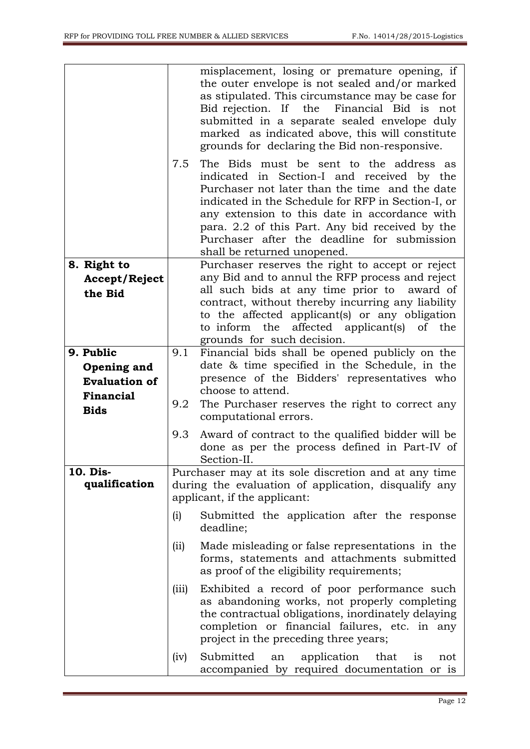|                           | 7.5   | misplacement, losing or premature opening, if<br>the outer envelope is not sealed and/or marked<br>as stipulated. This circumstance may be case for<br>Bid rejection. If the Financial Bid is not<br>submitted in a separate sealed envelope duly<br>marked as indicated above, this will constitute<br>grounds for declaring the Bid non-responsive.<br>The Bids must be sent to the address as |
|---------------------------|-------|--------------------------------------------------------------------------------------------------------------------------------------------------------------------------------------------------------------------------------------------------------------------------------------------------------------------------------------------------------------------------------------------------|
|                           |       | indicated in Section-I and received by the<br>Purchaser not later than the time and the date<br>indicated in the Schedule for RFP in Section-I, or<br>any extension to this date in accordance with<br>para. 2.2 of this Part. Any bid received by the<br>Purchaser after the deadline for submission<br>shall be returned unopened.                                                             |
| 8. Right to               |       | Purchaser reserves the right to accept or reject                                                                                                                                                                                                                                                                                                                                                 |
| Accept/Reject             |       | any Bid and to annul the RFP process and reject                                                                                                                                                                                                                                                                                                                                                  |
| the Bid                   |       | all such bids at any time prior to award of<br>contract, without thereby incurring any liability                                                                                                                                                                                                                                                                                                 |
|                           |       | to the affected applicant(s) or any obligation                                                                                                                                                                                                                                                                                                                                                   |
|                           |       | to inform the affected applicant(s) of the                                                                                                                                                                                                                                                                                                                                                       |
|                           |       | grounds for such decision.                                                                                                                                                                                                                                                                                                                                                                       |
| 9. Public                 | 9.1   | Financial bids shall be opened publicly on the                                                                                                                                                                                                                                                                                                                                                   |
| Opening and               |       | date & time specified in the Schedule, in the                                                                                                                                                                                                                                                                                                                                                    |
| <b>Evaluation of</b>      |       | presence of the Bidders' representatives who                                                                                                                                                                                                                                                                                                                                                     |
| Financial                 |       | choose to attend.                                                                                                                                                                                                                                                                                                                                                                                |
| <b>Bids</b>               | 9.2   | The Purchaser reserves the right to correct any<br>computational errors.                                                                                                                                                                                                                                                                                                                         |
|                           | 9.3   | Award of contract to the qualified bidder will be<br>done as per the process defined in Part-IV of                                                                                                                                                                                                                                                                                               |
|                           |       | Section-II.                                                                                                                                                                                                                                                                                                                                                                                      |
| 10. Dis-<br>qualification |       | Purchaser may at its sole discretion and at any time<br>during the evaluation of application, disqualify any<br>applicant, if the applicant:                                                                                                                                                                                                                                                     |
|                           | (i)   | Submitted the application after the response<br>deadline;                                                                                                                                                                                                                                                                                                                                        |
|                           | (iii) | Made misleading or false representations in the<br>forms, statements and attachments submitted<br>as proof of the eligibility requirements;                                                                                                                                                                                                                                                      |
|                           | (iii) | Exhibited a record of poor performance such<br>as abandoning works, not properly completing<br>the contractual obligations, inordinately delaying<br>completion or financial failures, etc. in any<br>project in the preceding three years;                                                                                                                                                      |
|                           | (iv)  | Submitted<br>application that is<br>an<br>not<br>accompanied by required documentation or is                                                                                                                                                                                                                                                                                                     |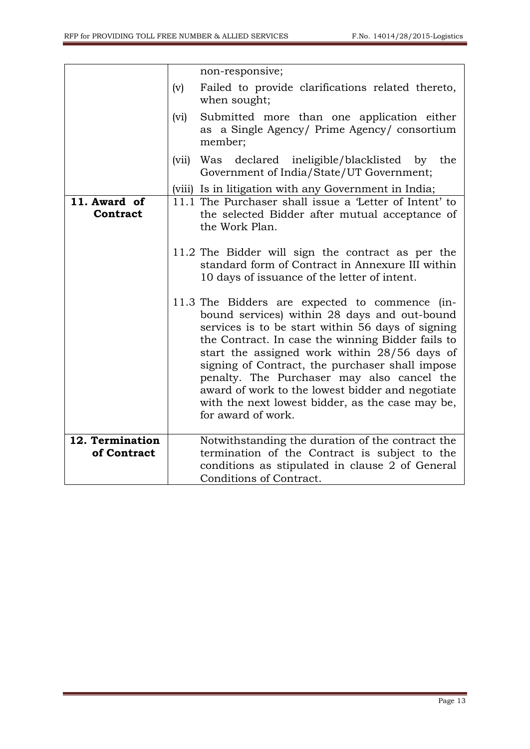|                                |      | non-responsive;                                                                                                                                                                                                                                                                                                                                                                                                                                                                         |
|--------------------------------|------|-----------------------------------------------------------------------------------------------------------------------------------------------------------------------------------------------------------------------------------------------------------------------------------------------------------------------------------------------------------------------------------------------------------------------------------------------------------------------------------------|
|                                |      |                                                                                                                                                                                                                                                                                                                                                                                                                                                                                         |
|                                | (v)  | Failed to provide clarifications related thereto,<br>when sought;                                                                                                                                                                                                                                                                                                                                                                                                                       |
|                                | (vi) | Submitted more than one application either<br>as a Single Agency/ Prime Agency/ consortium<br>member;                                                                                                                                                                                                                                                                                                                                                                                   |
|                                |      | (vii) Was declared ineligible/blacklisted by<br>the<br>Government of India/State/UT Government;                                                                                                                                                                                                                                                                                                                                                                                         |
|                                |      | (viii) Is in litigation with any Government in India;                                                                                                                                                                                                                                                                                                                                                                                                                                   |
| 11. Award of<br>Contract       |      | 11.1 The Purchaser shall issue a 'Letter of Intent' to<br>the selected Bidder after mutual acceptance of<br>the Work Plan.                                                                                                                                                                                                                                                                                                                                                              |
|                                |      | 11.2 The Bidder will sign the contract as per the<br>standard form of Contract in Annexure III within<br>10 days of issuance of the letter of intent.                                                                                                                                                                                                                                                                                                                                   |
|                                |      | 11.3 The Bidders are expected to commence (in-<br>bound services) within 28 days and out-bound<br>services is to be start within 56 days of signing<br>the Contract. In case the winning Bidder fails to<br>start the assigned work within 28/56 days of<br>signing of Contract, the purchaser shall impose<br>penalty. The Purchaser may also cancel the<br>award of work to the lowest bidder and negotiate<br>with the next lowest bidder, as the case may be,<br>for award of work. |
| 12. Termination<br>of Contract |      | Notwithstanding the duration of the contract the<br>termination of the Contract is subject to the<br>conditions as stipulated in clause 2 of General<br>Conditions of Contract.                                                                                                                                                                                                                                                                                                         |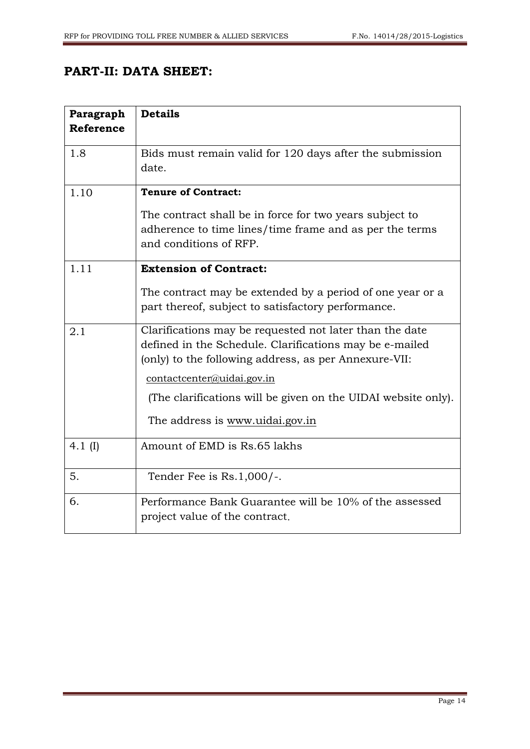## <span id="page-13-0"></span>**PART-II: DATA SHEET:**

| Paragraph<br><b>Reference</b> | <b>Details</b>                                                                                                                                                              |
|-------------------------------|-----------------------------------------------------------------------------------------------------------------------------------------------------------------------------|
| 1.8                           | Bids must remain valid for 120 days after the submission<br>date.                                                                                                           |
| 1.10                          | <b>Tenure of Contract:</b>                                                                                                                                                  |
|                               | The contract shall be in force for two years subject to<br>adherence to time lines/time frame and as per the terms<br>and conditions of RFP.                                |
| 1.11                          | <b>Extension of Contract:</b>                                                                                                                                               |
|                               | The contract may be extended by a period of one year or a<br>part thereof, subject to satisfactory performance.                                                             |
| 2.1                           | Clarifications may be requested not later than the date<br>defined in the Schedule. Clarifications may be e-mailed<br>(only) to the following address, as per Annexure-VII: |
|                               | contactcenter@uidai.gov.in                                                                                                                                                  |
|                               | (The clarifications will be given on the UIDAI website only).                                                                                                               |
|                               | The address is www.uidai.gov.in                                                                                                                                             |
| 4.1 $(I)$                     | Amount of EMD is Rs.65 lakhs                                                                                                                                                |
| 5.                            | Tender Fee is $Rs.1,000/-.$                                                                                                                                                 |
| 6.                            | Performance Bank Guarantee will be 10% of the assessed<br>project value of the contract.                                                                                    |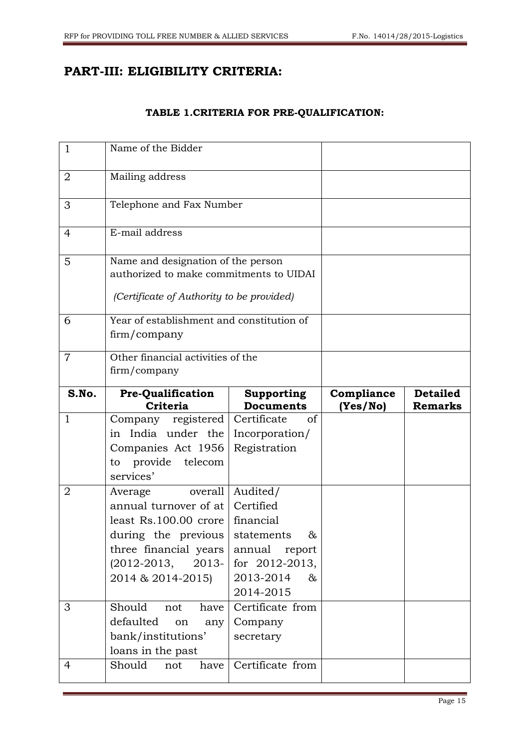## <span id="page-14-0"></span>**PART-III: ELIGIBILITY CRITERIA:**

#### **TABLE 1.CRITERIA FOR PRE-QUALIFICATION:**

| $\mathbf{1}$        | Name of the Bidder                                                                                                                                                    |                                                                                                                               |                        |                                   |
|---------------------|-----------------------------------------------------------------------------------------------------------------------------------------------------------------------|-------------------------------------------------------------------------------------------------------------------------------|------------------------|-----------------------------------|
| 2                   | Mailing address                                                                                                                                                       |                                                                                                                               |                        |                                   |
| 3                   | Telephone and Fax Number                                                                                                                                              |                                                                                                                               |                        |                                   |
| 4                   | E-mail address                                                                                                                                                        |                                                                                                                               |                        |                                   |
| 5                   | Name and designation of the person<br>authorized to make commitments to UIDAI<br>(Certificate of Authority to be provided)                                            |                                                                                                                               |                        |                                   |
| 6                   | Year of establishment and constitution of<br>$\lim$ /company                                                                                                          |                                                                                                                               |                        |                                   |
| $\overline{7}$      | Other financial activities of the<br>firm/company                                                                                                                     |                                                                                                                               |                        |                                   |
| S.No.               | <b>Pre-Qualification</b><br>Criteria                                                                                                                                  | <b>Supporting</b><br><b>Documents</b>                                                                                         | Compliance<br>(Yes/No) | <b>Detailed</b><br><b>Remarks</b> |
|                     |                                                                                                                                                                       |                                                                                                                               |                        |                                   |
| $\mathbf{1}$        | Company registered<br>in India under the<br>Companies Act 1956<br>provide<br>telecom<br>to<br>services'                                                               | Certificate<br>of<br>Incorporation/<br>Registration                                                                           |                        |                                   |
| $\overline{2}$      | overall<br>Average<br>annual turnover of at<br>least Rs.100.00 crore<br>during the previous<br>three financial years<br>$(2012 - 2013,$<br>2013-<br>2014 & 2014-2015) | Audited/<br>Certified<br>financial<br>&<br>statements<br>annual<br>report<br>for 2012-2013,<br>2013-2014<br>$\&$<br>2014-2015 |                        |                                   |
| 3<br>$\overline{4}$ | Should<br>have<br>not<br>defaulted<br>on<br>any<br>bank/institutions'<br>loans in the past<br>Should<br>have<br>not                                                   | Certificate from<br>Company<br>secretary<br>Certificate from                                                                  |                        |                                   |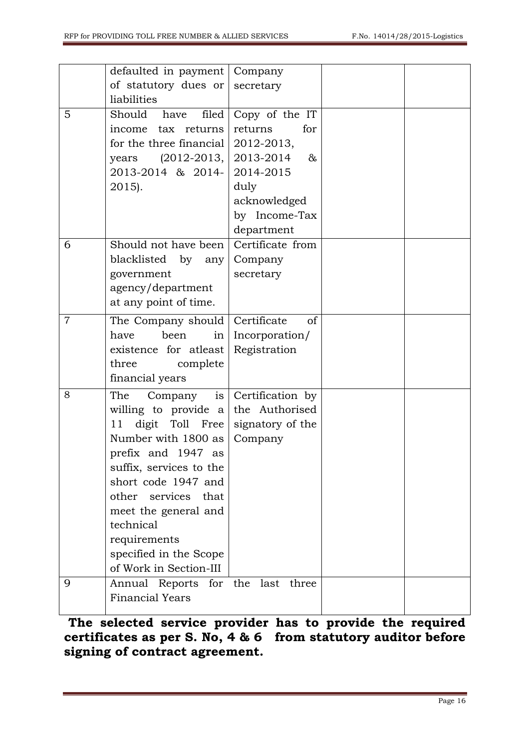|                | defaulted in payment<br>of statutory dues or<br>liabilities                                                                                                                                                                                                                                                           | Company<br>secretary                                                                                                                    |  |
|----------------|-----------------------------------------------------------------------------------------------------------------------------------------------------------------------------------------------------------------------------------------------------------------------------------------------------------------------|-----------------------------------------------------------------------------------------------------------------------------------------|--|
| 5              | Should<br>filed<br>have<br>tax returns<br>income<br>for the three financial<br>years $(2012-2013, )$<br>2013-2014 & 2014-<br>2015).                                                                                                                                                                                   | Copy of the IT<br>for<br>returns<br>2012-2013,<br>2013-2014<br>$\&$<br>2014-2015<br>duly<br>acknowledged<br>by Income-Tax<br>department |  |
| 6              | Should not have been<br>blacklisted by any<br>government<br>agency/department<br>at any point of time.                                                                                                                                                                                                                | Certificate from<br>Company<br>secretary                                                                                                |  |
| $\overline{7}$ | The Company should<br>been<br>have<br>$\frac{1}{1}$<br>existence for atleast<br>three<br>complete<br>financial years                                                                                                                                                                                                  | Certificate<br>of<br>Incorporation/<br>Registration                                                                                     |  |
| 8              | is<br>The<br>Company<br>willing to provide a the Authorised<br>digit Toll Free<br>11<br>Number with 1800 as  <br>prefix and 1947 as<br>suffix, services to the<br>short code 1947 and<br>other services that<br>meet the general and<br>technical<br>requirements<br>specified in the Scope<br>of Work in Section-III | Certification by<br>signatory of the<br>Company                                                                                         |  |
| 9              | Annual Reports for the<br><b>Financial Years</b>                                                                                                                                                                                                                                                                      | last<br>three                                                                                                                           |  |

**The selected service provider has to provide the required certificates as per S. No, 4 & 6 from statutory auditor before signing of contract agreement.**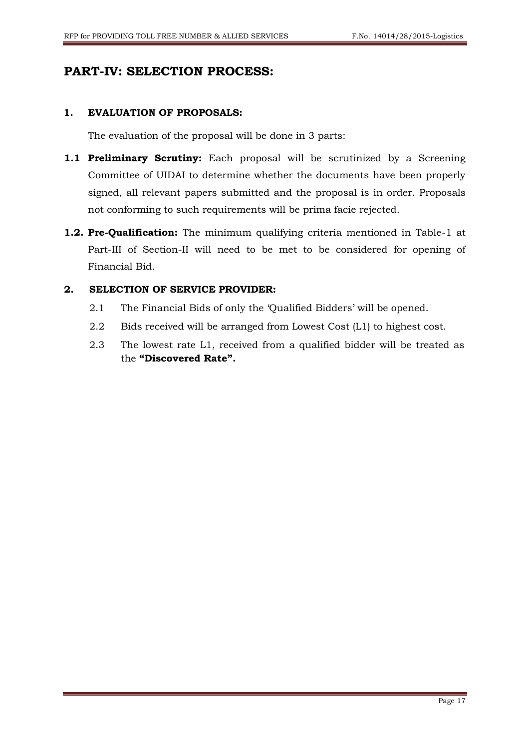## <span id="page-16-0"></span>**PART-IV: SELECTION PROCESS:**

#### **1. EVALUATION OF PROPOSALS:**

The evaluation of the proposal will be done in 3 parts:

- **1.1 Preliminary Scrutiny:** Each proposal will be scrutinized by a Screening Committee of UIDAI to determine whether the documents have been properly signed, all relevant papers submitted and the proposal is in order. Proposals not conforming to such requirements will be prima facie rejected.
- **1.2. Pre-Qualification:** The minimum qualifying criteria mentioned in Table-1 at Part-III of Section-II will need to be met to be considered for opening of Financial Bid.

#### **2. SELECTION OF SERVICE PROVIDER:**

- 2.1 The Financial Bids of only the "Qualified Bidders" will be opened.
- 2.2 Bids received will be arranged from Lowest Cost (L1) to highest cost.
- 2.3 The lowest rate L1, received from a qualified bidder will be treated as the **"Discovered Rate".**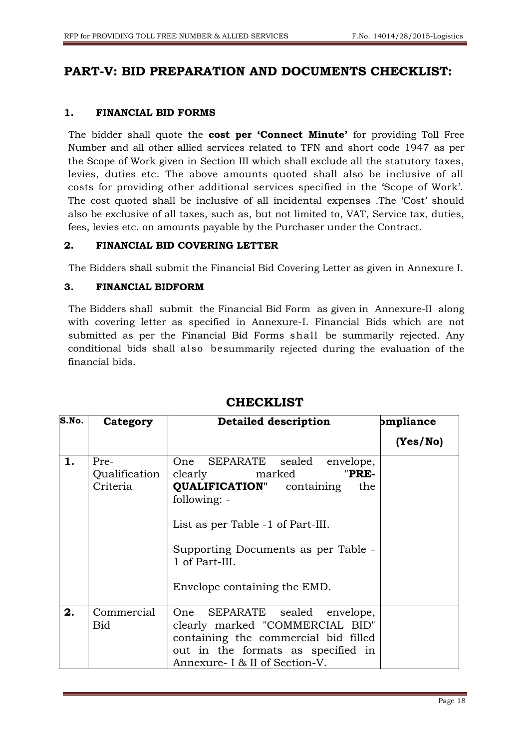## <span id="page-17-0"></span>**PART-V: BID PREPARATION AND DOCUMENTS CHECKLIST:**

#### **1. FINANCIAL BID FORMS**

The bidder shall quote the **cost per "Connect Minute"** for providing Toll Free Number and all other allied services related to TFN and short code 1947 as per the Scope of Work given in Section III which shall exclude all the statutory taxes, levies, duties etc. The above amounts quoted shall also be inclusive of all costs for providing other additional services specified in the "Scope of Work". The cost quoted shall be inclusive of all incidental expenses .The "Cost" should also be exclusive of all taxes, such as, but not limited to, VAT, Service tax, duties, fees, levies etc. on amounts payable by the Purchaser under the Contract.

#### **2. FINANCIAL BID COVERING LETTER**

The Bidders shall submit the Financial Bid Covering Letter as given in Annexure I.

#### **3. FINANCIAL BIDFORM**

The Bidders shall submit the Financial Bid Form as given in Annexure-II along with covering letter as specified in Annexure-I. Financial Bids which are not submitted as per the Financial Bid Forms shall be summarily rejected. Any conditional bids shall also besummarily rejected during the evaluation of the financial bids.

| S.No. | Category                          | <b>Detailed description</b>                                                                                                                                                                                                                       | pmpliance |
|-------|-----------------------------------|---------------------------------------------------------------------------------------------------------------------------------------------------------------------------------------------------------------------------------------------------|-----------|
|       |                                   |                                                                                                                                                                                                                                                   | (Yes/No)  |
| 1.    | Pre-<br>Qualification<br>Criteria | One SEPARATE sealed envelope,<br>clearly marked<br>"PRE-<br><b>QUALIFICATION"</b> containing<br>the<br>following: -<br>List as per Table -1 of Part-III.<br>Supporting Documents as per Table -<br>1 of Part-III.<br>Envelope containing the EMD. |           |
| 2.    | Commercial<br>Bid                 | SEPARATE sealed<br>One<br>envelope,<br>clearly marked "COMMERCIAL BID"<br>containing the commercial bid filled<br>out in the formats as specified in<br>Annexure- I & II of Section-V.                                                            |           |

## **CHECKLIST**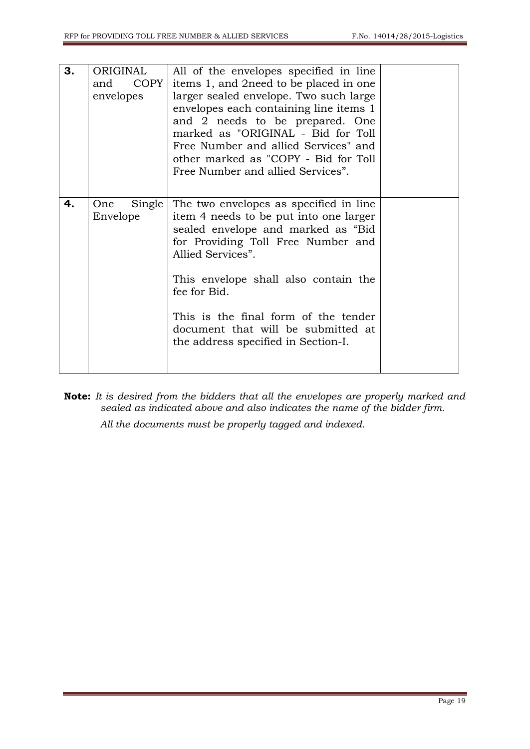| 3. | ORIGINAL<br><b>COPY</b><br>and<br>envelopes | All of the envelopes specified in line<br>items 1, and 2 need to be placed in one<br>larger sealed envelope. Two such large<br>envelopes each containing line items 1<br>and 2 needs to be prepared. One<br>marked as "ORIGINAL - Bid for Toll<br>Free Number and allied Services" and<br>other marked as "COPY - Bid for Toll<br>Free Number and allied Services". |  |
|----|---------------------------------------------|---------------------------------------------------------------------------------------------------------------------------------------------------------------------------------------------------------------------------------------------------------------------------------------------------------------------------------------------------------------------|--|
| 4. | Single<br>One<br>Envelope                   | The two envelopes as specified in line<br>item 4 needs to be put into one larger<br>sealed envelope and marked as "Bid<br>for Providing Toll Free Number and<br>Allied Services".                                                                                                                                                                                   |  |
|    |                                             | This envelope shall also contain the<br>fee for Bid.                                                                                                                                                                                                                                                                                                                |  |
|    |                                             | This is the final form of the tender<br>document that will be submitted at<br>the address specified in Section-I.                                                                                                                                                                                                                                                   |  |

**Note:** *It is desired from the bidders that all the envelopes are properly marked and sealed as indicated above and also indicates the name of the bidder firm.*

*All the documents must be properly tagged and indexed.*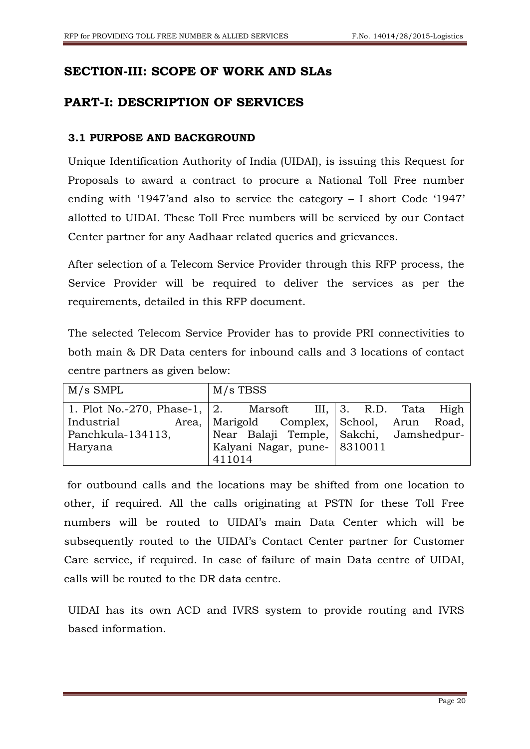## <span id="page-19-0"></span>**SECTION-III: SCOPE OF WORK AND SLAs**

## <span id="page-19-1"></span>**PART-I: DESCRIPTION OF SERVICES**

#### **3.1 PURPOSE AND BACKGROUND**

Unique Identification Authority of India (UIDAI), is issuing this Request for Proposals to award a contract to procure a National Toll Free number ending with '1947'and also to service the category  $-$  I short Code '1947' allotted to UIDAI. These Toll Free numbers will be serviced by our Contact Center partner for any Aadhaar related queries and grievances.

After selection of a Telecom Service Provider through this RFP process, the Service Provider will be required to deliver the services as per the requirements, detailed in this RFP document.

The selected Telecom Service Provider has to provide PRI connectivities to both main & DR Data centers for inbound calls and 3 locations of contact centre partners as given below:

| $M/s$ SMPL                                                  | M/s TBSS                     |                                            |
|-------------------------------------------------------------|------------------------------|--------------------------------------------|
| 1. Plot No.-270, Phase-1, 2. Marsoft III, 3. R.D. Tata High |                              |                                            |
| Industrial                                                  |                              | Area, Marigold Complex, School, Arun Road, |
| Panchkula-134113,                                           |                              | Near Balaji Temple, Sakchi, Jamshedpur-    |
| Haryana                                                     | Kalyani Nagar, pune- 8310011 |                                            |
|                                                             | 411014                       |                                            |

for outbound calls and the locations may be shifted from one location to other, if required. All the calls originating at PSTN for these Toll Free numbers will be routed to UIDAI"s main Data Center which will be subsequently routed to the UIDAI"s Contact Center partner for Customer Care service, if required. In case of failure of main Data centre of UIDAI, calls will be routed to the DR data centre.

UIDAI has its own ACD and IVRS system to provide routing and IVRS based information.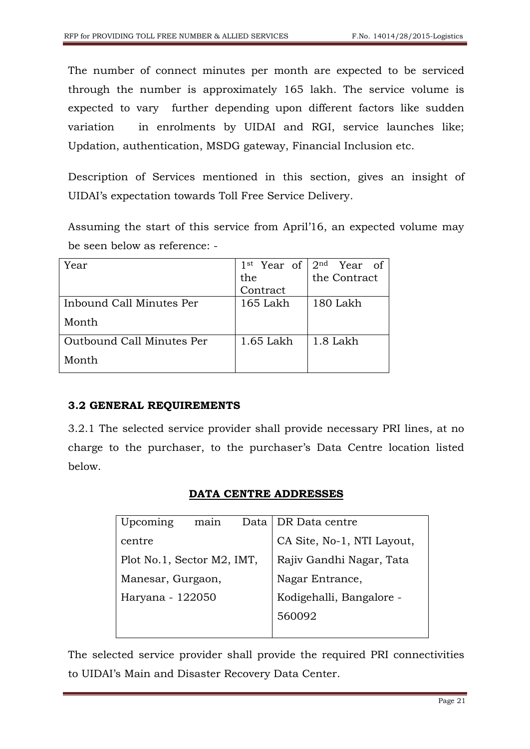The number of connect minutes per month are expected to be serviced through the number is approximately 165 lakh. The service volume is expected to vary further depending upon different factors like sudden variation in enrolments by UIDAI and RGI, service launches like; Updation, authentication, MSDG gateway, Financial Inclusion etc.

Description of Services mentioned in this section, gives an insight of UIDAI"s expectation towards Toll Free Service Delivery.

Assuming the start of this service from April"16, an expected volume may be seen below as reference: -

| Year                      | 1 <sup>st</sup> Year of | $2nd$ Year of<br>the Contract |
|---------------------------|-------------------------|-------------------------------|
|                           | the                     |                               |
|                           | Contract                |                               |
| Inbound Call Minutes Per  | 165 Lakh                | 180 Lakh                      |
| Month                     |                         |                               |
| Outbound Call Minutes Per | $1.65$ Lakh             | 1.8 Lakh                      |
| Month                     |                         |                               |

#### **3.2 GENERAL REQUIREMENTS**

3.2.1 The selected service provider shall provide necessary PRI lines, at no charge to the purchaser, to the purchaser"s Data Centre location listed below.

#### **DATA CENTRE ADDRESSES**

| Upcoming<br>main           | Data   DR Data centre      |
|----------------------------|----------------------------|
| centre                     | CA Site, No-1, NTI Layout, |
| Plot No.1, Sector M2, IMT, | Rajiv Gandhi Nagar, Tata   |
| Manesar, Gurgaon,          | Nagar Entrance,            |
| Haryana - 122050           | Kodigehalli, Bangalore -   |
|                            | 560092                     |
|                            |                            |

The selected service provider shall provide the required PRI connectivities to UIDAI"s Main and Disaster Recovery Data Center.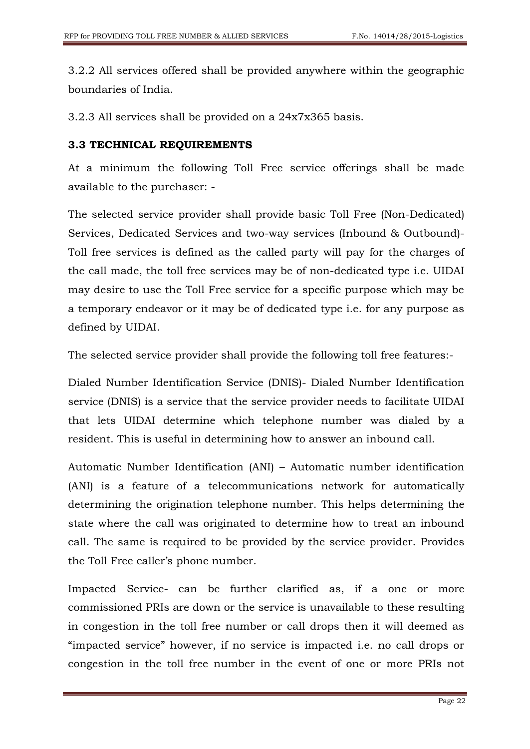3.2.2 All services offered shall be provided anywhere within the geographic boundaries of India.

3.2.3 All services shall be provided on a 24x7x365 basis.

#### **3.3 TECHNICAL REQUIREMENTS**

At a minimum the following Toll Free service offerings shall be made available to the purchaser: -

The selected service provider shall provide basic Toll Free (Non-Dedicated) Services, Dedicated Services and two-way services (Inbound & Outbound)- Toll free services is defined as the called party will pay for the charges of the call made, the toll free services may be of non-dedicated type i.e. UIDAI may desire to use the Toll Free service for a specific purpose which may be a temporary endeavor or it may be of dedicated type i.e. for any purpose as defined by UIDAI.

The selected service provider shall provide the following toll free features:-

Dialed Number Identification Service (DNIS)- Dialed Number Identification service (DNIS) is a service that the service provider needs to facilitate UIDAI that lets UIDAI determine which telephone number was dialed by a resident. This is useful in determining how to answer an inbound call.

Automatic Number Identification (ANI) – Automatic number identification (ANI) is a feature of a telecommunications network for automatically determining the origination telephone number. This helps determining the state where the call was originated to determine how to treat an inbound call. The same is required to be provided by the service provider. Provides the Toll Free caller"s phone number.

Impacted Service- can be further clarified as, if a one or more commissioned PRIs are down or the service is unavailable to these resulting in congestion in the toll free number or call drops then it will deemed as "impacted service" however, if no service is impacted i.e. no call drops or congestion in the toll free number in the event of one or more PRIs not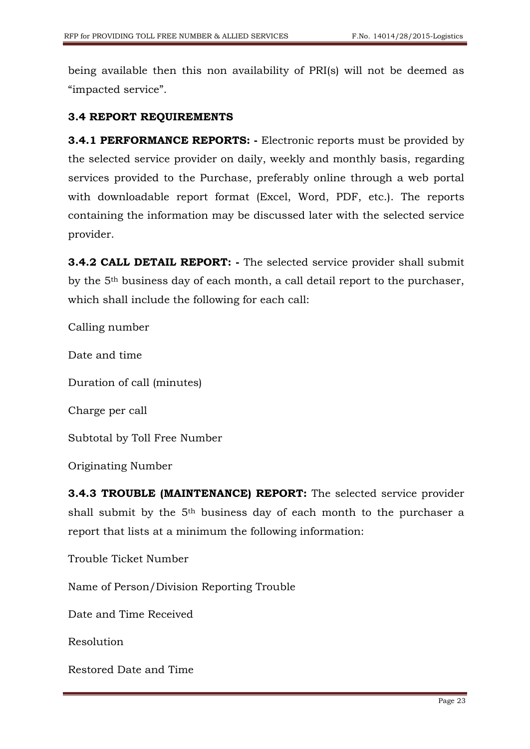being available then this non availability of PRI(s) will not be deemed as "impacted service".

#### **3.4 REPORT REQUIREMENTS**

**3.4.1 PERFORMANCE REPORTS:** - Electronic reports must be provided by the selected service provider on daily, weekly and monthly basis, regarding services provided to the Purchase, preferably online through a web portal with downloadable report format (Excel, Word, PDF, etc.). The reports containing the information may be discussed later with the selected service provider.

**3.4.2 CALL DETAIL REPORT: -** The selected service provider shall submit by the 5th business day of each month, a call detail report to the purchaser, which shall include the following for each call:

Calling number

Date and time

Duration of call (minutes)

Charge per call

Subtotal by Toll Free Number

Originating Number

**3.4.3 TROUBLE (MAINTENANCE) REPORT:** The selected service provider shall submit by the 5<sup>th</sup> business day of each month to the purchaser a report that lists at a minimum the following information:

Trouble Ticket Number

Name of Person/Division Reporting Trouble

Date and Time Received

Resolution

Restored Date and Time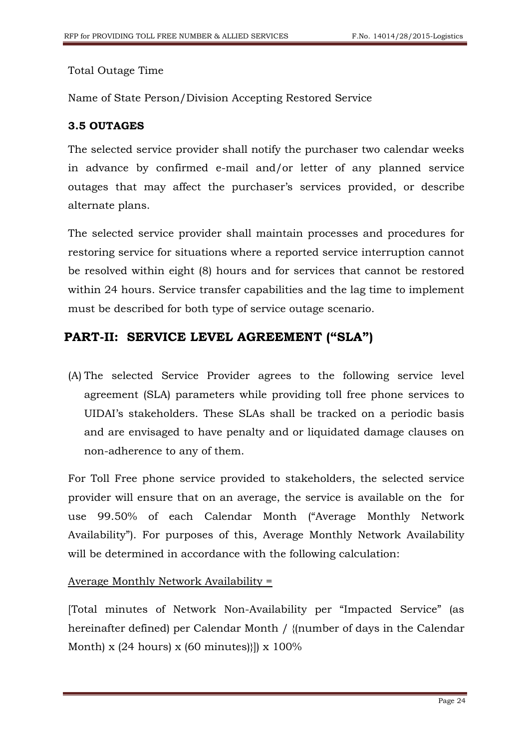#### Total Outage Time

Name of State Person/Division Accepting Restored Service

## **3.5 OUTAGES**

The selected service provider shall notify the purchaser two calendar weeks in advance by confirmed e-mail and/or letter of any planned service outages that may affect the purchaser"s services provided, or describe alternate plans.

The selected service provider shall maintain processes and procedures for restoring service for situations where a reported service interruption cannot be resolved within eight (8) hours and for services that cannot be restored within 24 hours. Service transfer capabilities and the lag time to implement must be described for both type of service outage scenario.

## <span id="page-23-0"></span>**PART-II: SERVICE LEVEL AGREEMENT ("SLA")**

(A) The selected Service Provider agrees to the following service level agreement (SLA) parameters while providing toll free phone services to UIDAI"s stakeholders. These SLAs shall be tracked on a periodic basis and are envisaged to have penalty and or liquidated damage clauses on non-adherence to any of them.

For Toll Free phone service provided to stakeholders, the selected service provider will ensure that on an average, the service is available on the for use 99.50% of each Calendar Month ("Average Monthly Network Availability"). For purposes of this, Average Monthly Network Availability will be determined in accordance with the following calculation:

#### Average Monthly Network Availability =

[Total minutes of Network Non-Availability per "Impacted Service" (as hereinafter defined) per Calendar Month / {(number of days in the Calendar Month) x  $(24$  hours) x  $(60 \text{ minutes})$ ] x  $100\%$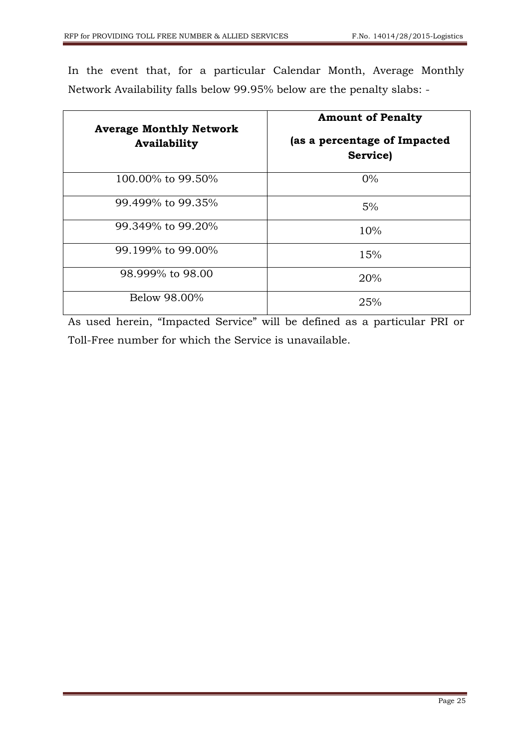In the event that, for a particular Calendar Month, Average Monthly Network Availability falls below 99.95% below are the penalty slabs: -

| <b>Average Monthly Network</b> | <b>Amount of Penalty</b>                 |  |
|--------------------------------|------------------------------------------|--|
| Availability                   | (as a percentage of Impacted<br>Service) |  |
| 100.00% to 99.50%              | $0\%$                                    |  |
| 99.499% to 99.35%              | 5%                                       |  |
| 99.349% to 99.20%              | 10%                                      |  |
| 99.199% to 99.00%              | 15%                                      |  |
| 98.999% to 98.00               | 20%                                      |  |
| Below 98.00%                   | 25%                                      |  |

As used herein, "Impacted Service" will be defined as a particular PRI or Toll-Free number for which the Service is unavailable.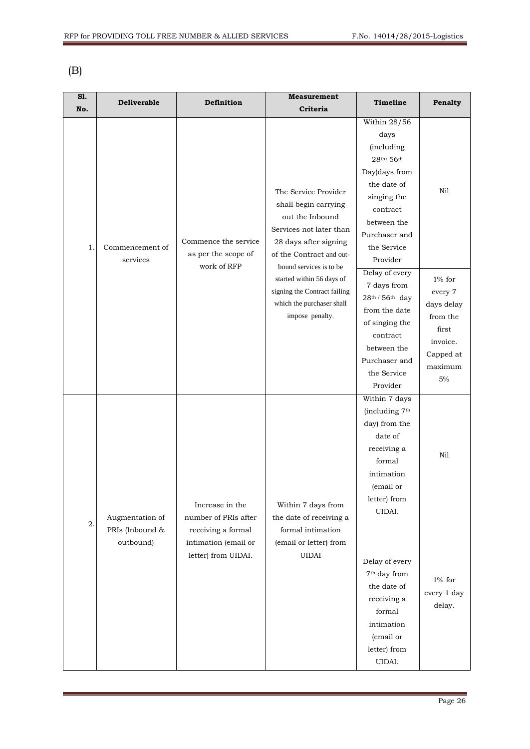<span id="page-25-0"></span>

| S1.<br>No. | <b>Deliverable</b>                              | Definition                                                                                                   | <b>Measurement</b><br>Criteria                                                                                                                                                                                                                                                          | Timeline                                                                                                                                                                                                                                                                                                                                                                       | Penalty                                                                                                  |
|------------|-------------------------------------------------|--------------------------------------------------------------------------------------------------------------|-----------------------------------------------------------------------------------------------------------------------------------------------------------------------------------------------------------------------------------------------------------------------------------------|--------------------------------------------------------------------------------------------------------------------------------------------------------------------------------------------------------------------------------------------------------------------------------------------------------------------------------------------------------------------------------|----------------------------------------------------------------------------------------------------------|
| 1.         | Commencement of<br>services                     | Commence the service<br>as per the scope of<br>work of RFP                                                   | The Service Provider<br>shall begin carrying<br>out the Inbound<br>Services not later than<br>28 days after signing<br>of the Contract and out-<br>bound services is to be<br>started within 56 days of<br>signing the Contract failing<br>which the purchaser shall<br>impose penalty. | Within 28/56<br>days<br><i>(including</i><br>$28^{\mathrm{th}}/56^{\mathrm{th}}$<br>Day)days from<br>the date of<br>singing the<br>contract<br>between the<br>Purchaser and<br>the Service<br>Provider<br>Delay of every<br>7 days from<br>$28^{th}$ / $56^{th}$ day<br>from the date<br>of singing the<br>contract<br>between the<br>Purchaser and<br>the Service<br>Provider | Nil<br>$1\%$ for<br>every 7<br>days delay<br>from the<br>first<br>invoice.<br>Capped at<br>maximum<br>5% |
| 2.         | Augmentation of<br>PRIs (Inbound &<br>outbound) | Increase in the<br>number of PRIs after<br>receiving a formal<br>intimation (email or<br>letter) from UIDAI. | Within 7 days from<br>the date of receiving a<br>formal intimation<br>(email or letter) from<br><b>UIDAI</b>                                                                                                                                                                            | Within 7 days<br>(including 7 <sup>th</sup><br>day) from the<br>date of<br>receiving a<br>formal<br>intimation<br>(email or<br>letter) from<br>UIDAI.<br>Delay of every<br>7 <sup>th</sup> day from<br>the date of<br>receiving a<br>formal<br>intimation<br>(email or<br>letter) from                                                                                         | Nil<br>$1\%$ for<br>every 1 day<br>delay.                                                                |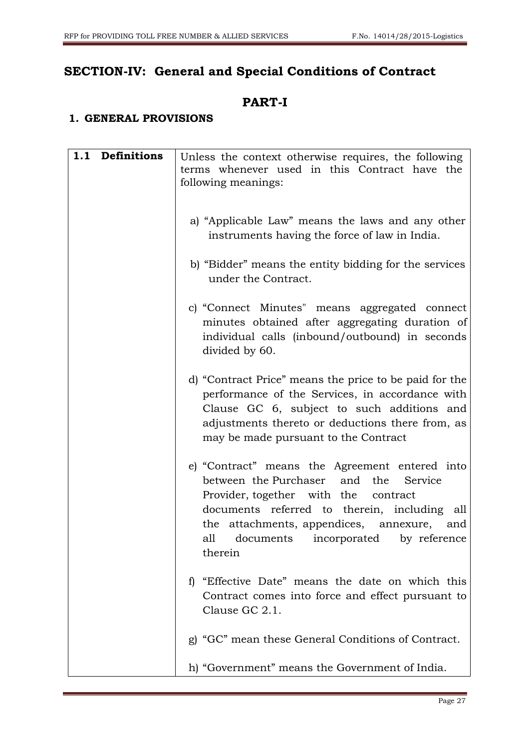# <span id="page-26-0"></span>**SECTION-IV: General and Special Conditions of Contract**

## **PART-I**

#### **1. GENERAL PROVISIONS**

| 1.1 Definitions | Unless the context otherwise requires, the following<br>terms whenever used in this Contract have the<br>following meanings:                                                                                                                                                                 |
|-----------------|----------------------------------------------------------------------------------------------------------------------------------------------------------------------------------------------------------------------------------------------------------------------------------------------|
|                 | a) "Applicable Law" means the laws and any other<br>instruments having the force of law in India.                                                                                                                                                                                            |
|                 | b) "Bidder" means the entity bidding for the services<br>under the Contract.                                                                                                                                                                                                                 |
|                 | c) "Connect Minutes" means aggregated connect<br>minutes obtained after aggregating duration of<br>individual calls (inbound/outbound) in seconds<br>divided by 60.                                                                                                                          |
|                 | d) "Contract Price" means the price to be paid for the<br>performance of the Services, in accordance with<br>Clause GC 6, subject to such additions and<br>adjustments thereto or deductions there from, as<br>may be made pursuant to the Contract                                          |
|                 | e) "Contract" means the Agreement entered into<br>between the Purchaser and the<br>Service<br>Provider, together with the contract<br>documents referred to therein, including all<br>the attachments, appendices, annexure, and<br>all<br>documents incorporated<br>by reference<br>therein |
|                 | f) "Effective Date" means the date on which this<br>Contract comes into force and effect pursuant to<br>Clause GC 2.1.                                                                                                                                                                       |
|                 | g) "GC" mean these General Conditions of Contract.                                                                                                                                                                                                                                           |
|                 | h) "Government" means the Government of India.                                                                                                                                                                                                                                               |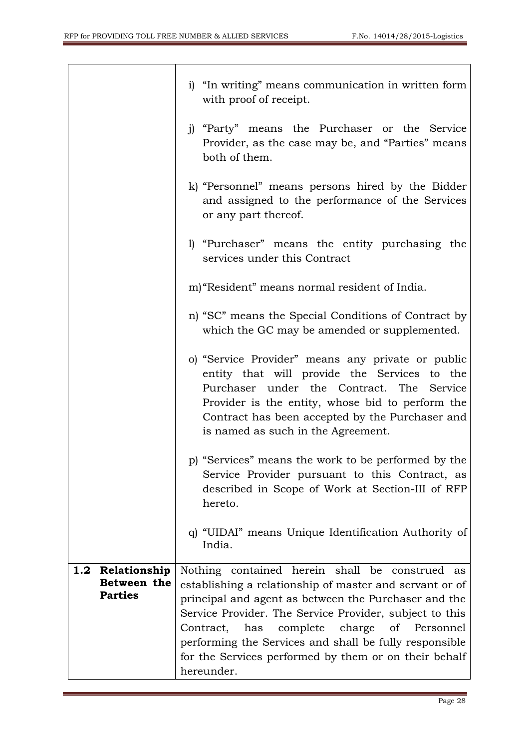|                                                      | i) "In writing" means communication in written form<br>with proof of receipt.                                                                                                                                                                                                               |
|------------------------------------------------------|---------------------------------------------------------------------------------------------------------------------------------------------------------------------------------------------------------------------------------------------------------------------------------------------|
|                                                      | j) "Party" means the Purchaser or the Service<br>Provider, as the case may be, and "Parties" means<br>both of them.                                                                                                                                                                         |
|                                                      | k) "Personnel" means persons hired by the Bidder<br>and assigned to the performance of the Services<br>or any part thereof.                                                                                                                                                                 |
|                                                      | 1) "Purchaser" means the entity purchasing the<br>services under this Contract                                                                                                                                                                                                              |
|                                                      | m) "Resident" means normal resident of India.                                                                                                                                                                                                                                               |
|                                                      | n) "SC" means the Special Conditions of Contract by<br>which the GC may be amended or supplemented.                                                                                                                                                                                         |
|                                                      | o) "Service Provider" means any private or public<br>entity that will provide the Services to the<br>Purchaser under the Contract. The Service<br>Provider is the entity, whose bid to perform the<br>Contract has been accepted by the Purchaser and<br>is named as such in the Agreement. |
|                                                      | p) "Services" means the work to be performed by the<br>Service Provider pursuant to this Contract, as<br>described in Scope of Work at Section-III of RFP<br>hereto.                                                                                                                        |
|                                                      | q) "UIDAI" means Unique Identification Authority of<br>India.                                                                                                                                                                                                                               |
| 1.2<br>Relationship<br>Between the<br><b>Parties</b> | Nothing contained herein shall be construed as<br>establishing a relationship of master and servant or of<br>principal and agent as between the Purchaser and the<br>Service Provider. The Service Provider, subject to this<br>Contract, has complete charge of Personnel                  |
|                                                      | performing the Services and shall be fully responsible<br>for the Services performed by them or on their behalf<br>hereunder.                                                                                                                                                               |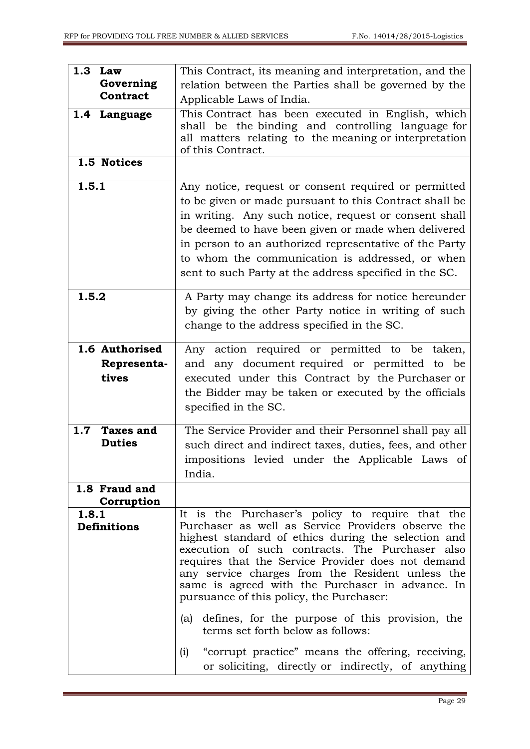| 1.3   | Law                | This Contract, its meaning and interpretation, and the                                                                                                                               |
|-------|--------------------|--------------------------------------------------------------------------------------------------------------------------------------------------------------------------------------|
|       | Governing          | relation between the Parties shall be governed by the                                                                                                                                |
|       | Contract           | Applicable Laws of India.                                                                                                                                                            |
| 1.4   | Language           | This Contract has been executed in English, which<br>shall be the binding and controlling language for<br>all matters relating to the meaning or interpretation<br>of this Contract. |
|       | 1.5 Notices        |                                                                                                                                                                                      |
| 1.5.1 |                    | Any notice, request or consent required or permitted                                                                                                                                 |
|       |                    | to be given or made pursuant to this Contract shall be                                                                                                                               |
|       |                    | in writing. Any such notice, request or consent shall                                                                                                                                |
|       |                    | be deemed to have been given or made when delivered                                                                                                                                  |
|       |                    | in person to an authorized representative of the Party                                                                                                                               |
|       |                    | to whom the communication is addressed, or when                                                                                                                                      |
|       |                    | sent to such Party at the address specified in the SC.                                                                                                                               |
|       |                    |                                                                                                                                                                                      |
| 1.5.2 |                    | A Party may change its address for notice hereunder                                                                                                                                  |
|       |                    | by giving the other Party notice in writing of such                                                                                                                                  |
|       |                    | change to the address specified in the SC.                                                                                                                                           |
|       |                    |                                                                                                                                                                                      |
|       | 1.6 Authorised     | Any action required or permitted to be taken,                                                                                                                                        |
|       | Representa-        | and any document required or permitted to be                                                                                                                                         |
|       | tives              | executed under this Contract by the Purchaser or                                                                                                                                     |
|       |                    | the Bidder may be taken or executed by the officials                                                                                                                                 |
|       |                    | specified in the SC.                                                                                                                                                                 |
| 1.7   | <b>Taxes and</b>   | The Service Provider and their Personnel shall pay all                                                                                                                               |
|       | <b>Duties</b>      | such direct and indirect taxes, duties, fees, and other                                                                                                                              |
|       |                    | impositions levied under the Applicable Laws of                                                                                                                                      |
|       |                    | India.                                                                                                                                                                               |
|       | 1.8 Fraud and      |                                                                                                                                                                                      |
|       | Corruption         |                                                                                                                                                                                      |
| 1.8.1 |                    | It is the Purchaser's policy to require that the                                                                                                                                     |
|       | <b>Definitions</b> | Purchaser as well as Service Providers observe the                                                                                                                                   |
|       |                    | highest standard of ethics during the selection and                                                                                                                                  |
|       |                    | execution of such contracts. The Purchaser also<br>requires that the Service Provider does not demand                                                                                |
|       |                    | any service charges from the Resident unless the                                                                                                                                     |
|       |                    | same is agreed with the Purchaser in advance. In                                                                                                                                     |
|       |                    | pursuance of this policy, the Purchaser:                                                                                                                                             |
|       |                    | (a) defines, for the purpose of this provision, the                                                                                                                                  |
|       |                    | terms set forth below as follows:                                                                                                                                                    |
|       |                    |                                                                                                                                                                                      |
|       |                    | "corrupt practice" means the offering, receiving,<br>(i)                                                                                                                             |
|       |                    | or soliciting, directly or indirectly, of anything                                                                                                                                   |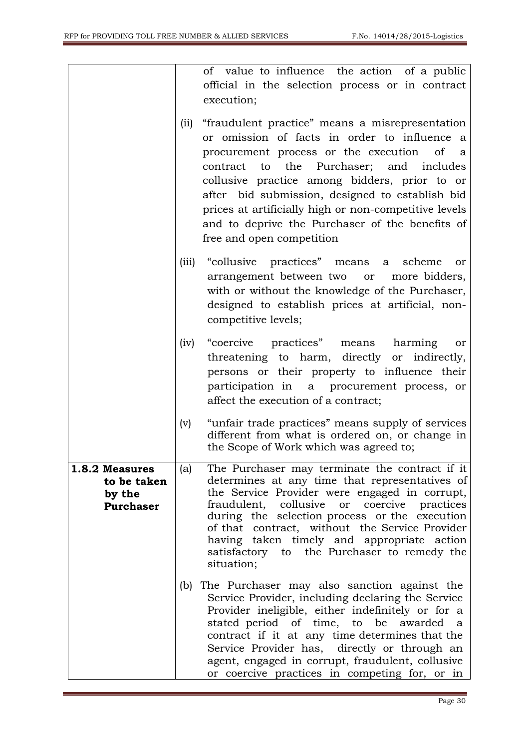|                                                             |       | of value to influence the action of a public<br>official in the selection process or in contract<br>execution;                                                                                                                                                                                                                                                                                                                                   |
|-------------------------------------------------------------|-------|--------------------------------------------------------------------------------------------------------------------------------------------------------------------------------------------------------------------------------------------------------------------------------------------------------------------------------------------------------------------------------------------------------------------------------------------------|
|                                                             | (ii)  | "fraudulent practice" means a misrepresentation<br>or omission of facts in order to influence a<br>procurement process or the execution<br>$\sigma$<br>a<br>contract to the Purchaser; and includes<br>collusive practice among bidders, prior to or<br>after bid submission, designed to establish bid<br>prices at artificially high or non-competitive levels<br>and to deprive the Purchaser of the benefits of<br>free and open competition |
|                                                             | (iii) | "collusive practices" means a scheme<br>or<br>arrangement between two or<br>more bidders,<br>with or without the knowledge of the Purchaser,<br>designed to establish prices at artificial, non-<br>competitive levels;                                                                                                                                                                                                                          |
|                                                             | (iv)  | "coercive practices" means<br>harming<br>or<br>threatening to harm, directly or indirectly,<br>persons or their property to influence their<br>participation in a procurement process, or<br>affect the execution of a contract;                                                                                                                                                                                                                 |
|                                                             | (v)   | "unfair trade practices" means supply of services<br>different from what is ordered on, or change in<br>the Scope of Work which was agreed to;                                                                                                                                                                                                                                                                                                   |
| 1.8.2 Measures<br>to be taken<br>by the<br><b>Purchaser</b> | (a)   | The Purchaser may terminate the contract if it<br>determines at any time that representatives of<br>the Service Provider were engaged in corrupt,<br>coercive practices<br>fraudulent, collusive<br>or<br>during the selection process or the execution<br>of that contract, without the Service Provider<br>having taken timely and appropriate action<br>satisfactory to the Purchaser to remedy the<br>situation;                             |
|                                                             | (b)   | The Purchaser may also sanction against the<br>Service Provider, including declaring the Service<br>Provider ineligible, either indefinitely or for a<br>stated period of time, to be awarded<br><sub>a</sub><br>contract if it at any time determines that the<br>Service Provider has, directly or through an<br>agent, engaged in corrupt, fraudulent, collusive<br>or coercive practices in competing for, or in                             |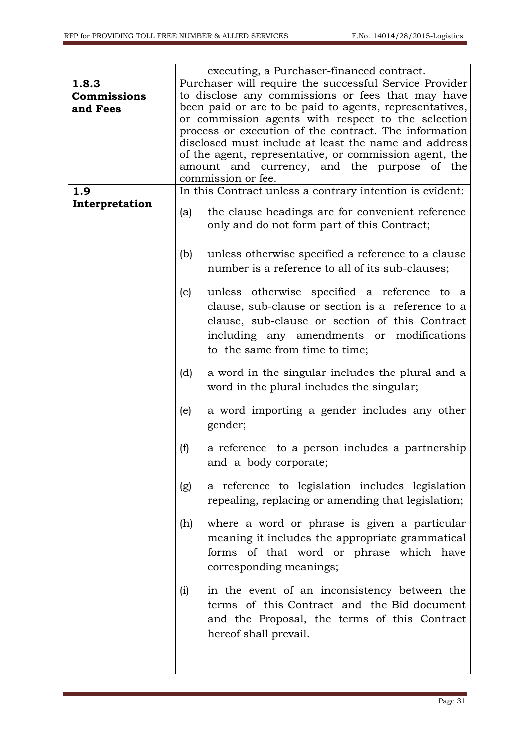|                    |     | executing, a Purchaser-financed contract.                         |
|--------------------|-----|-------------------------------------------------------------------|
| 1.8.3              |     | Purchaser will require the successful Service Provider            |
| <b>Commissions</b> |     | to disclose any commissions or fees that may have                 |
| and Fees           |     | been paid or are to be paid to agents, representatives,           |
|                    |     | or commission agents with respect to the selection                |
|                    |     | process or execution of the contract. The information             |
|                    |     | disclosed must include at least the name and address              |
|                    |     | of the agent, representative, or commission agent, the            |
|                    |     |                                                                   |
|                    |     | amount and currency, and the purpose of the<br>commission or fee. |
|                    |     |                                                                   |
| 1.9                |     | In this Contract unless a contrary intention is evident:          |
| Interpretation     | (a) | the clause headings are for convenient reference                  |
|                    |     |                                                                   |
|                    |     | only and do not form part of this Contract;                       |
|                    |     |                                                                   |
|                    | (b) | unless otherwise specified a reference to a clause                |
|                    |     | number is a reference to all of its sub-clauses;                  |
|                    |     |                                                                   |
|                    | (c) | unless otherwise specified a reference to a                       |
|                    |     | clause, sub-clause or section is a reference to a                 |
|                    |     | clause, sub-clause or section of this Contract                    |
|                    |     |                                                                   |
|                    |     | including any amendments or modifications                         |
|                    |     | to the same from time to time;                                    |
|                    | (d) | a word in the singular includes the plural and a                  |
|                    |     | word in the plural includes the singular;                         |
|                    |     |                                                                   |
|                    | (e) | a word importing a gender includes any other                      |
|                    |     | gender;                                                           |
|                    |     |                                                                   |
|                    | (f) | a reference to a person includes a partnership                    |
|                    |     | and a body corporate;                                             |
|                    |     |                                                                   |
|                    | (g) | a reference to legislation includes legislation                   |
|                    |     | repealing, replacing or amending that legislation;                |
|                    |     |                                                                   |
|                    | (h) | where a word or phrase is given a particular                      |
|                    |     | meaning it includes the appropriate grammatical                   |
|                    |     |                                                                   |
|                    |     | forms of that word or phrase which have                           |
|                    |     | corresponding meanings;                                           |
|                    |     |                                                                   |
|                    | (i) | in the event of an inconsistency between the                      |
|                    |     | terms of this Contract and the Bid document                       |
|                    |     | and the Proposal, the terms of this Contract                      |
|                    |     | hereof shall prevail.                                             |
|                    |     |                                                                   |
|                    |     |                                                                   |
|                    |     |                                                                   |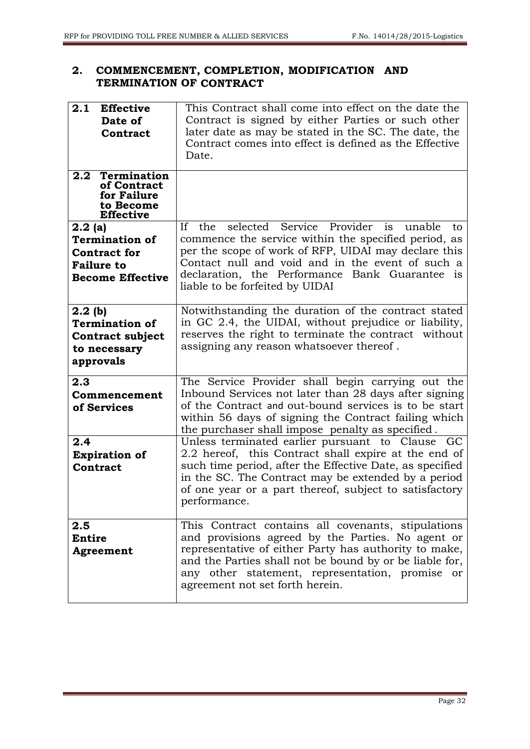## **2. COMMENCEMENT, COMPLETION, MODIFICATION AND TERMINATION OF CONTRACT**

| 2.1<br><b>Effective</b><br>Date of<br>Contract                                                            | This Contract shall come into effect on the date the<br>Contract is signed by either Parties or such other<br>later date as may be stated in the SC. The date, the<br>Contract comes into effect is defined as the Effective<br>Date.                                                                                   |
|-----------------------------------------------------------------------------------------------------------|-------------------------------------------------------------------------------------------------------------------------------------------------------------------------------------------------------------------------------------------------------------------------------------------------------------------------|
| $2.2\phantom{0}$<br>Termination<br>of Contract<br>for Failure<br>to Become<br><b>Effective</b>            |                                                                                                                                                                                                                                                                                                                         |
| $2.2$ (a)<br><b>Termination of</b><br><b>Contract for</b><br><b>Failure to</b><br><b>Become Effective</b> | selected<br>Service Provider is<br>If -<br>unable<br>the<br>to<br>commence the service within the specified period, as<br>per the scope of work of RFP, UIDAI may declare this<br>Contact null and void and in the event of such a<br>declaration, the Performance Bank Guarantee is<br>liable to be forfeited by UIDAI |
| 2.2 <sub>(b)</sub><br><b>Termination of</b><br><b>Contract subject</b><br>to necessary<br>approvals       | Notwithstanding the duration of the contract stated<br>in GC 2.4, the UIDAI, without prejudice or liability,<br>reserves the right to terminate the contract without<br>assigning any reason whatsoever thereof.                                                                                                        |
| 2.3<br>Commencement<br>of Services                                                                        | The Service Provider shall begin carrying out the<br>Inbound Services not later than 28 days after signing<br>of the Contract and out-bound services is to be start<br>within 56 days of signing the Contract failing which<br>the purchaser shall impose penalty as specified.                                         |
| 2.4<br><b>Expiration of</b><br>Contract                                                                   | Unless terminated earlier pursuant to Clause GC<br>2.2 hereof, this Contract shall expire at the end of<br>such time period, after the Effective Date, as specified<br>in the SC. The Contract may be extended by a period<br>of one year or a part thereof, subject to satisfactory<br>performance.                    |
| 2.5<br><b>Entire</b><br>Agreement                                                                         | This Contract contains all covenants, stipulations<br>and provisions agreed by the Parties. No agent or<br>representative of either Party has authority to make,<br>and the Parties shall not be bound by or be liable for,<br>any other statement, representation, promise or<br>agreement not set forth herein.       |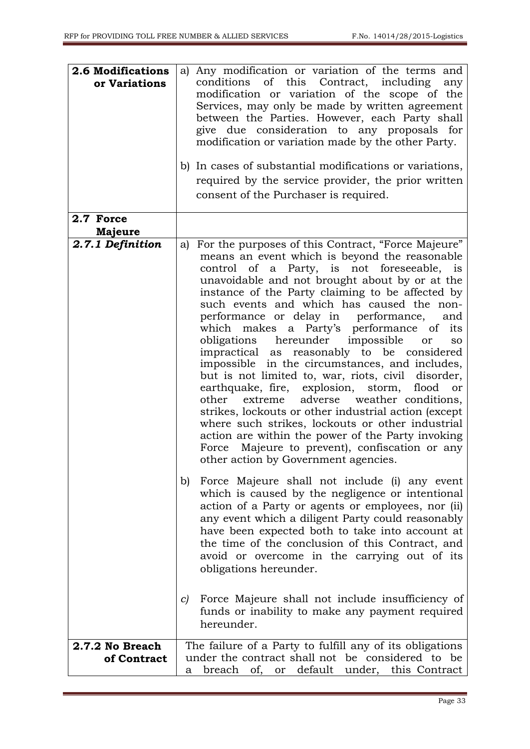| <b>2.6 Modifications</b><br>or Variations | Any modification or variation of the terms and<br>a)<br>of this Contract, including<br>conditions<br>any<br>modification or variation of the scope of the<br>Services, may only be made by written agreement<br>between the Parties. However, each Party shall<br>give due consideration to any proposals for<br>modification or variation made by the other Party.<br>b) In cases of substantial modifications or variations,<br>required by the service provider, the prior written<br>consent of the Purchaser is required.                                                                                                                                                                                                                                                                                                                                                                                                                                                                                        |
|-------------------------------------------|-----------------------------------------------------------------------------------------------------------------------------------------------------------------------------------------------------------------------------------------------------------------------------------------------------------------------------------------------------------------------------------------------------------------------------------------------------------------------------------------------------------------------------------------------------------------------------------------------------------------------------------------------------------------------------------------------------------------------------------------------------------------------------------------------------------------------------------------------------------------------------------------------------------------------------------------------------------------------------------------------------------------------|
| 2.7 Force<br>Majeure                      |                                                                                                                                                                                                                                                                                                                                                                                                                                                                                                                                                                                                                                                                                                                                                                                                                                                                                                                                                                                                                       |
| 2.7.1 Definition                          | For the purposes of this Contract, "Force Majeure"<br>a)<br>means an event which is beyond the reasonable<br>control of a Party, is not foreseeable, is<br>unavoidable and not brought about by or at the<br>instance of the Party claiming to be affected by<br>such events and which has caused the non-<br>performance or delay in performance,<br>and<br>which makes a Party's performance of its<br>hereunder impossible<br>obligations<br><sub>or</sub><br><b>SO</b><br>impractical as reasonably to be considered<br>impossible in the circumstances, and includes,<br>but is not limited to, war, riots, civil disorder,<br>earthquake, fire, explosion,<br>storm,<br>flood<br><sub>or</sub><br>adverse weather conditions,<br>other<br>extreme<br>strikes, lockouts or other industrial action (except<br>where such strikes, lockouts or other industrial<br>action are within the power of the Party invoking<br>Majeure to prevent), confiscation or any<br>Force<br>other action by Government agencies. |
|                                           | Force Majeure shall not include (i) any event<br>b)<br>which is caused by the negligence or intentional<br>action of a Party or agents or employees, nor (ii)<br>any event which a diligent Party could reasonably<br>have been expected both to take into account at<br>the time of the conclusion of this Contract, and<br>avoid or overcome in the carrying out of its<br>obligations hereunder.<br>Force Majeure shall not include insufficiency of<br>c)<br>funds or inability to make any payment required                                                                                                                                                                                                                                                                                                                                                                                                                                                                                                      |
|                                           | hereunder.                                                                                                                                                                                                                                                                                                                                                                                                                                                                                                                                                                                                                                                                                                                                                                                                                                                                                                                                                                                                            |
| 2.7.2 No Breach<br>of Contract            | The failure of a Party to fulfill any of its obligations<br>under the contract shall not be considered to be<br>breach of, or default under, this Contract<br>a                                                                                                                                                                                                                                                                                                                                                                                                                                                                                                                                                                                                                                                                                                                                                                                                                                                       |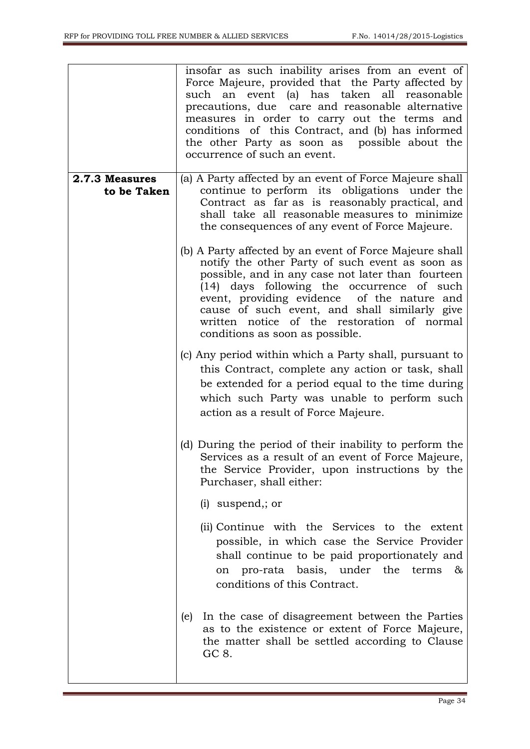|                               | insofar as such inability arises from an event of<br>Force Majeure, provided that the Party affected by<br>such an event (a) has taken all reasonable<br>precautions, due care and reasonable alternative<br>measures in order to carry out the terms and<br>conditions of this Contract, and (b) has informed<br>the other Party as soon as possible about the<br>occurrence of such an event. |
|-------------------------------|-------------------------------------------------------------------------------------------------------------------------------------------------------------------------------------------------------------------------------------------------------------------------------------------------------------------------------------------------------------------------------------------------|
| 2.7.3 Measures<br>to be Taken | (a) A Party affected by an event of Force Majeure shall<br>continue to perform its obligations under the<br>Contract as far as is reasonably practical, and<br>shall take all reasonable measures to minimize<br>the consequences of any event of Force Majeure.                                                                                                                                |
|                               | (b) A Party affected by an event of Force Majeure shall<br>notify the other Party of such event as soon as<br>possible, and in any case not later than fourteen<br>(14) days following the occurrence of such<br>event, providing evidence of the nature and<br>cause of such event, and shall similarly give<br>written notice of the restoration of normal<br>conditions as soon as possible. |
|                               | (c) Any period within which a Party shall, pursuant to<br>this Contract, complete any action or task, shall<br>be extended for a period equal to the time during<br>which such Party was unable to perform such<br>action as a result of Force Majeure.                                                                                                                                         |
|                               | (d) During the period of their inability to perform the<br>Services as a result of an event of Force Majeure,<br>the Service Provider, upon instructions by the<br>Purchaser, shall either:                                                                                                                                                                                                     |
|                               | $(i)$ suspend,; or                                                                                                                                                                                                                                                                                                                                                                              |
|                               | (ii) Continue with the Services to the extent<br>possible, in which case the Service Provider<br>shall continue to be paid proportionately and<br>pro-rata basis, under the terms $\&$<br>on<br>conditions of this Contract.                                                                                                                                                                    |
|                               | In the case of disagreement between the Parties<br>(e)<br>as to the existence or extent of Force Majeure,<br>the matter shall be settled according to Clause<br>GC 8.                                                                                                                                                                                                                           |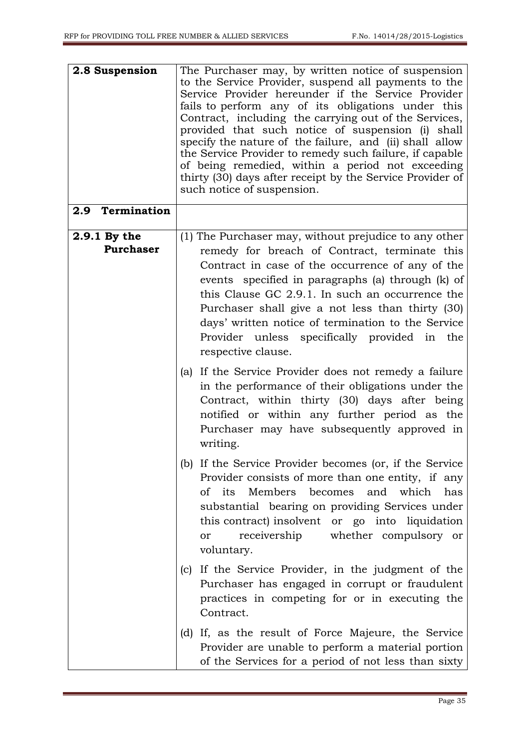| 2.8 Suspension                   | The Purchaser may, by written notice of suspension<br>to the Service Provider, suspend all payments to the<br>Service Provider hereunder if the Service Provider<br>fails to perform any of its obligations under this<br>Contract, including the carrying out of the Services,<br>provided that such notice of suspension (i) shall<br>specify the nature of the failure, and (ii) shall allow<br>the Service Provider to remedy such failure, if capable<br>of being remedied, within a period not exceeding<br>thirty (30) days after receipt by the Service Provider of<br>such notice of suspension. |
|----------------------------------|-----------------------------------------------------------------------------------------------------------------------------------------------------------------------------------------------------------------------------------------------------------------------------------------------------------------------------------------------------------------------------------------------------------------------------------------------------------------------------------------------------------------------------------------------------------------------------------------------------------|
| Termination<br>2.9               |                                                                                                                                                                                                                                                                                                                                                                                                                                                                                                                                                                                                           |
| 2.9.1 By the<br><b>Purchaser</b> | (1) The Purchaser may, without prejudice to any other<br>remedy for breach of Contract, terminate this<br>Contract in case of the occurrence of any of the<br>events specified in paragraphs (a) through (k) of<br>this Clause GC 2.9.1. In such an occurrence the<br>Purchaser shall give a not less than thirty (30)<br>days' written notice of termination to the Service<br>Provider unless specifically provided in the<br>respective clause.                                                                                                                                                        |
|                                  | (a) If the Service Provider does not remedy a failure<br>in the performance of their obligations under the<br>Contract, within thirty (30) days after being<br>notified or within any further period as the<br>Purchaser may have subsequently approved in<br>writing.                                                                                                                                                                                                                                                                                                                                    |
|                                  | If the Service Provider becomes (or, if the Service<br>(b)<br>Provider consists of more than one entity, if any<br>of its<br>Members becomes and<br>which<br>has<br>substantial bearing on providing Services under<br>this contract insolvent or go into liquidation<br>receivership<br>whether compulsory or<br><b>or</b><br>voluntary.                                                                                                                                                                                                                                                                 |
|                                  | If the Service Provider, in the judgment of the<br>(c)<br>Purchaser has engaged in corrupt or fraudulent<br>practices in competing for or in executing the<br>Contract.                                                                                                                                                                                                                                                                                                                                                                                                                                   |
|                                  | (d)<br>If, as the result of Force Majeure, the Service<br>Provider are unable to perform a material portion<br>of the Services for a period of not less than sixty                                                                                                                                                                                                                                                                                                                                                                                                                                        |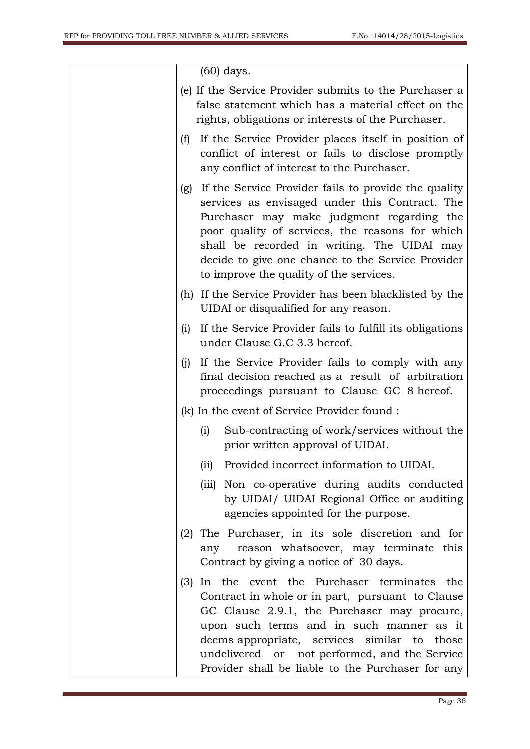|     | $(60)$ days.                                                                                                                                                                                                                                                                                                                                          |
|-----|-------------------------------------------------------------------------------------------------------------------------------------------------------------------------------------------------------------------------------------------------------------------------------------------------------------------------------------------------------|
|     | (e) If the Service Provider submits to the Purchaser a<br>false statement which has a material effect on the<br>rights, obligations or interests of the Purchaser.                                                                                                                                                                                    |
| (f) | If the Service Provider places itself in position of<br>conflict of interest or fails to disclose promptly<br>any conflict of interest to the Purchaser.                                                                                                                                                                                              |
| (g) | If the Service Provider fails to provide the quality<br>services as envisaged under this Contract. The<br>Purchaser may make judgment regarding the<br>poor quality of services, the reasons for which<br>shall be recorded in writing. The UIDAI may<br>decide to give one chance to the Service Provider<br>to improve the quality of the services. |
|     | (h) If the Service Provider has been blacklisted by the<br>UIDAI or disqualified for any reason.                                                                                                                                                                                                                                                      |
| (i) | If the Service Provider fails to fulfill its obligations<br>under Clause G.C 3.3 hereof.                                                                                                                                                                                                                                                              |
| (i) | If the Service Provider fails to comply with any<br>final decision reached as a result of arbitration<br>proceedings pursuant to Clause GC 8 hereof.                                                                                                                                                                                                  |
|     | (k) In the event of Service Provider found :                                                                                                                                                                                                                                                                                                          |
|     | Sub-contracting of work/services without the<br>(i)<br>prior written approval of UIDAI.                                                                                                                                                                                                                                                               |
|     | Provided incorrect information to UIDAI.<br>(ii)                                                                                                                                                                                                                                                                                                      |
|     | (iii) Non co-operative during audits conducted<br>by UIDAI/ UIDAI Regional Office or auditing<br>agencies appointed for the purpose.                                                                                                                                                                                                                  |
|     | (2) The Purchaser, in its sole discretion and for<br>reason whatsoever, may terminate this<br>any<br>Contract by giving a notice of 30 days.                                                                                                                                                                                                          |
| (3) | In the event the Purchaser terminates the<br>Contract in whole or in part, pursuant to Clause<br>GC Clause 2.9.1, the Purchaser may procure,<br>upon such terms and in such manner as it<br>deems appropriate, services similar to those<br>undelivered or not performed, and the Service<br>Provider shall be liable to the Purchaser for any        |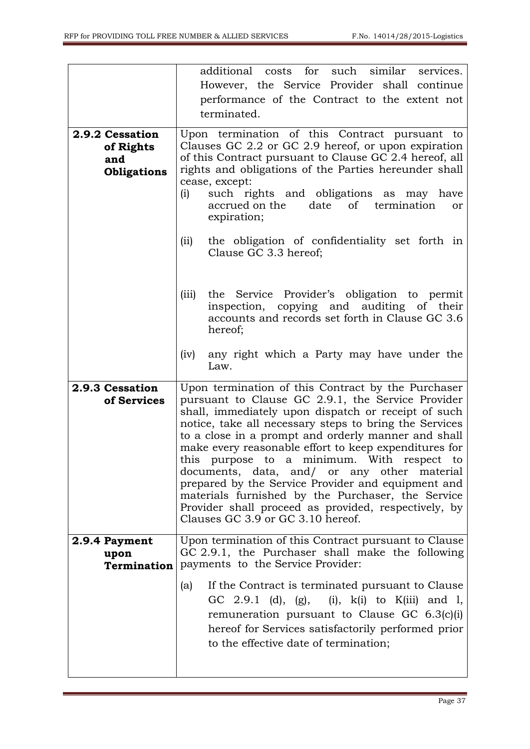|                                             | additional costs for such similar<br>services.                                                                                                                                                                                                                                                                                                                                                                                                                                                                                                                                                                                                   |
|---------------------------------------------|--------------------------------------------------------------------------------------------------------------------------------------------------------------------------------------------------------------------------------------------------------------------------------------------------------------------------------------------------------------------------------------------------------------------------------------------------------------------------------------------------------------------------------------------------------------------------------------------------------------------------------------------------|
|                                             | However, the Service Provider shall continue                                                                                                                                                                                                                                                                                                                                                                                                                                                                                                                                                                                                     |
|                                             | performance of the Contract to the extent not                                                                                                                                                                                                                                                                                                                                                                                                                                                                                                                                                                                                    |
|                                             | terminated.                                                                                                                                                                                                                                                                                                                                                                                                                                                                                                                                                                                                                                      |
| 2.9.2 Cessation                             | Upon termination of this Contract pursuant to                                                                                                                                                                                                                                                                                                                                                                                                                                                                                                                                                                                                    |
| of Rights                                   | Clauses GC 2.2 or GC 2.9 hereof, or upon expiration                                                                                                                                                                                                                                                                                                                                                                                                                                                                                                                                                                                              |
| and                                         | of this Contract pursuant to Clause GC 2.4 hereof, all                                                                                                                                                                                                                                                                                                                                                                                                                                                                                                                                                                                           |
| <b>Obligations</b>                          | rights and obligations of the Parties hereunder shall<br>cease, except:                                                                                                                                                                                                                                                                                                                                                                                                                                                                                                                                                                          |
|                                             | such rights and obligations as may have<br>(i)<br>date of termination<br>accrued on the<br>or<br>expiration;                                                                                                                                                                                                                                                                                                                                                                                                                                                                                                                                     |
|                                             | the obligation of confidentiality set forth in<br>(ii)<br>Clause GC 3.3 hereof;                                                                                                                                                                                                                                                                                                                                                                                                                                                                                                                                                                  |
|                                             | the Service Provider's obligation to permit<br>(iii)<br>inspection, copying and auditing of their<br>accounts and records set forth in Clause GC 3.6<br>hereof;                                                                                                                                                                                                                                                                                                                                                                                                                                                                                  |
|                                             | any right which a Party may have under the<br>(iv)<br>Law.                                                                                                                                                                                                                                                                                                                                                                                                                                                                                                                                                                                       |
| 2.9.3 Cessation<br>of Services              | Upon termination of this Contract by the Purchaser<br>pursuant to Clause GC 2.9.1, the Service Provider<br>shall, immediately upon dispatch or receipt of such<br>notice, take all necessary steps to bring the Services<br>to a close in a prompt and orderly manner and shall<br>make every reasonable effort to keep expenditures for<br>this purpose to a minimum. With respect to<br>documents, data, and/ or any other<br>material<br>prepared by the Service Provider and equipment and<br>materials furnished by the Purchaser, the Service<br>Provider shall proceed as provided, respectively, by<br>Clauses GC 3.9 or GC 3.10 hereof. |
| 2.9.4 Payment<br>upon<br><b>Termination</b> | Upon termination of this Contract pursuant to Clause<br>GC 2.9.1, the Purchaser shall make the following<br>payments to the Service Provider:                                                                                                                                                                                                                                                                                                                                                                                                                                                                                                    |
|                                             | If the Contract is terminated pursuant to Clause<br>(a)<br>GC 2.9.1 (d), (g), (i), $k(i)$ to $K(iii)$ and 1,<br>remuneration pursuant to Clause GC $6.3(c)(i)$<br>hereof for Services satisfactorily performed prior<br>to the effective date of termination;                                                                                                                                                                                                                                                                                                                                                                                    |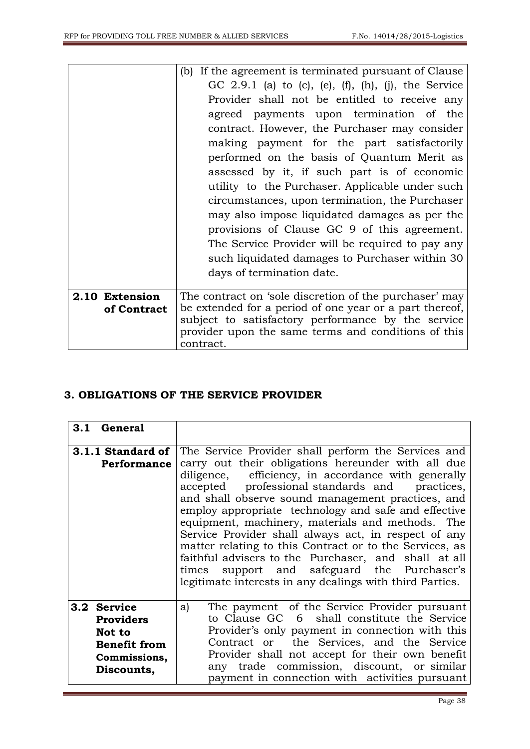|                               | If the agreement is terminated pursuant of Clause<br>(b)<br>GC 2.9.1 (a) to (c), (e), $(f)$ , $(h)$ , $(j)$ , the Service<br>Provider shall not be entitled to receive any<br>agreed payments upon termination of the<br>contract. However, the Purchaser may consider<br>making payment for the part satisfactorily<br>performed on the basis of Quantum Merit as<br>assessed by it, if such part is of economic<br>utility to the Purchaser. Applicable under such<br>circumstances, upon termination, the Purchaser<br>may also impose liquidated damages as per the<br>provisions of Clause GC 9 of this agreement.<br>The Service Provider will be required to pay any |
|-------------------------------|-----------------------------------------------------------------------------------------------------------------------------------------------------------------------------------------------------------------------------------------------------------------------------------------------------------------------------------------------------------------------------------------------------------------------------------------------------------------------------------------------------------------------------------------------------------------------------------------------------------------------------------------------------------------------------|
|                               | such liquidated damages to Purchaser within 30<br>days of termination date.                                                                                                                                                                                                                                                                                                                                                                                                                                                                                                                                                                                                 |
| 2.10 Extension<br>of Contract | The contract on 'sole discretion of the purchaser' may<br>be extended for a period of one year or a part thereof,<br>subject to satisfactory performance by the service<br>provider upon the same terms and conditions of this<br>contract.                                                                                                                                                                                                                                                                                                                                                                                                                                 |

#### **3. OBLIGATIONS OF THE SERVICE PROVIDER**

| 3.1 General                                                                                    |                                                                                                                                                                                                                                                                                                                                                                                                                                                                                                                                                                                                                                                                           |
|------------------------------------------------------------------------------------------------|---------------------------------------------------------------------------------------------------------------------------------------------------------------------------------------------------------------------------------------------------------------------------------------------------------------------------------------------------------------------------------------------------------------------------------------------------------------------------------------------------------------------------------------------------------------------------------------------------------------------------------------------------------------------------|
| 3.1.1 Standard of<br>Performance                                                               | The Service Provider shall perform the Services and<br>carry out their obligations hereunder with all due<br>diligence, efficiency, in accordance with generally<br>accepted professional standards and practices,<br>and shall observe sound management practices, and<br>employ appropriate technology and safe and effective<br>equipment, machinery, materials and methods. The<br>Service Provider shall always act, in respect of any<br>matter relating to this Contract or to the Services, as<br>faithful advisers to the Purchaser, and shall at all<br>times support and safeguard the Purchaser's<br>legitimate interests in any dealings with third Parties. |
| 3.2 Service<br><b>Providers</b><br>Not to<br><b>Benefit from</b><br>Commissions,<br>Discounts, | The payment of the Service Provider pursuant<br>a)<br>to Clause GC 6 shall constitute the Service<br>Provider's only payment in connection with this<br>the Services, and the Service<br>Contract or<br>Provider shall not accept for their own benefit<br>trade commission, discount, or similar<br>any<br>payment in connection with activities pursuant                                                                                                                                                                                                                                                                                                                |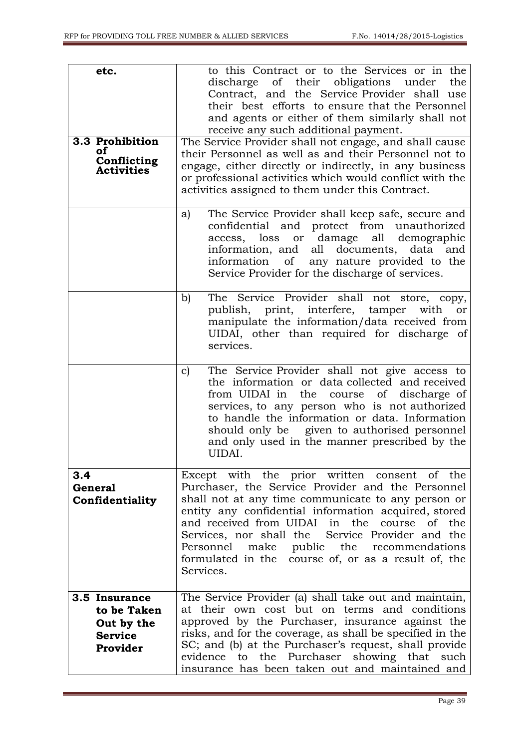| etc.<br>3.3 Prohibition<br>οf<br><b>Conflicting</b><br><b>Activities</b> | to this Contract or to the Services or in the<br>discharge of their obligations under the<br>Contract, and the Service Provider shall use<br>their best efforts to ensure that the Personnel<br>and agents or either of them similarly shall not<br>receive any such additional payment.<br>The Service Provider shall not engage, and shall cause<br>their Personnel as well as and their Personnel not to<br>engage, either directly or indirectly, in any business<br>or professional activities which would conflict with the<br>activities assigned to them under this Contract. |
|--------------------------------------------------------------------------|---------------------------------------------------------------------------------------------------------------------------------------------------------------------------------------------------------------------------------------------------------------------------------------------------------------------------------------------------------------------------------------------------------------------------------------------------------------------------------------------------------------------------------------------------------------------------------------|
|                                                                          | The Service Provider shall keep safe, secure and<br>a)<br>confidential and protect from unauthorized<br>access, loss or damage all demographic<br>documents, data and<br>information, and all<br>of any nature provided to the<br>information<br>Service Provider for the discharge of services.                                                                                                                                                                                                                                                                                      |
|                                                                          | The Service Provider shall not store, copy,<br>b)<br>publish, print, interfere,<br>tamper with<br>or<br>manipulate the information/data received from<br>UIDAI, other than required for discharge of<br>services.                                                                                                                                                                                                                                                                                                                                                                     |
|                                                                          | The Service Provider shall not give access to<br>$\mathbf{c})$<br>the information or data collected and received<br>the<br>from UIDAI in<br>course of discharge of<br>services, to any person who is not authorized<br>to handle the information or data. Information<br>should only be given to authorised personnel<br>and only used in the manner prescribed by the<br>UIDAI.                                                                                                                                                                                                      |
| 3.4<br><b>General</b><br>Confidentiality                                 | Except with the prior written consent of the<br>Purchaser, the Service Provider and the Personnel<br>shall not at any time communicate to any person or<br>entity any confidential information acquired, stored<br>and received from UIDAI in the<br>course<br>of the<br>Services, nor shall the Service Provider and the<br>Personnel make public the recommendations<br>formulated in the course of, or as a result of, the<br>Services.                                                                                                                                            |
| 3.5 Insurance<br>to be Taken<br>Out by the<br><b>Service</b><br>Provider | The Service Provider (a) shall take out and maintain,<br>at their own cost but on terms and conditions<br>approved by the Purchaser, insurance against the<br>risks, and for the coverage, as shall be specified in the<br>SC; and (b) at the Purchaser's request, shall provide<br>evidence to the Purchaser showing that such<br>insurance has been taken out and maintained and                                                                                                                                                                                                    |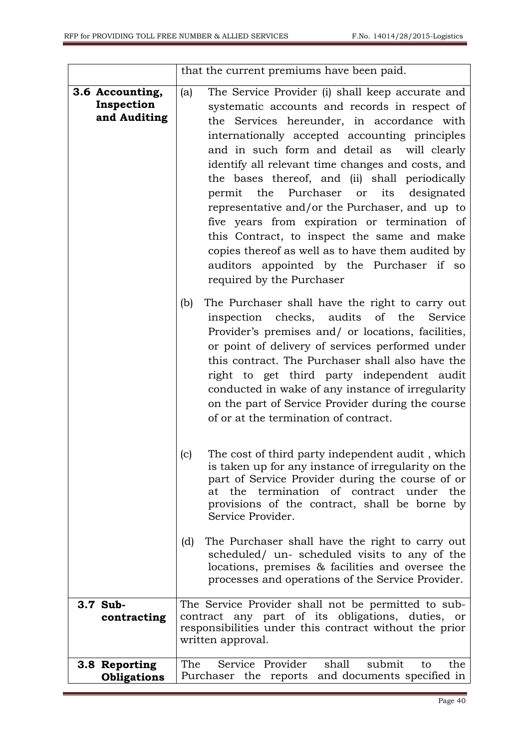|                                               | that the current premiums have been paid.                                                                                                                                                                                                                                                                                                                                                                                                                                                                                                                                                                                                                                                |
|-----------------------------------------------|------------------------------------------------------------------------------------------------------------------------------------------------------------------------------------------------------------------------------------------------------------------------------------------------------------------------------------------------------------------------------------------------------------------------------------------------------------------------------------------------------------------------------------------------------------------------------------------------------------------------------------------------------------------------------------------|
| 3.6 Accounting,<br>Inspection<br>and Auditing | The Service Provider (i) shall keep accurate and<br>(a)<br>systematic accounts and records in respect of<br>the Services hereunder, in accordance with<br>internationally accepted accounting principles<br>and in such form and detail as will clearly<br>identify all relevant time changes and costs, and<br>the bases thereof, and (ii) shall periodically<br>permit the Purchaser or its designated<br>representative and/or the Purchaser, and up to<br>five years from expiration or termination of<br>this Contract, to inspect the same and make<br>copies thereof as well as to have them audited by<br>auditors appointed by the Purchaser if so<br>required by the Purchaser |
|                                               | The Purchaser shall have the right to carry out<br>(b)<br>checks, audits of the<br>Service<br>inspection<br>Provider's premises and/ or locations, facilities,<br>or point of delivery of services performed under<br>this contract. The Purchaser shall also have the<br>right to get third party independent audit<br>conducted in wake of any instance of irregularity<br>on the part of Service Provider during the course<br>of or at the termination of contract.                                                                                                                                                                                                                  |
|                                               | The cost of third party independent audit, which<br>(c)<br>is taken up for any instance of irregularity on the<br>part of Service Provider during the course of or<br>the termination of contract under the<br>at<br>provisions of the contract, shall be borne by<br>Service Provider.<br>The Purchaser shall have the right to carry out<br>(d)<br>scheduled/ un- scheduled visits to any of the<br>locations, premises & facilities and oversee the                                                                                                                                                                                                                                   |
| 3.7 Sub-<br>contracting                       | processes and operations of the Service Provider.<br>The Service Provider shall not be permitted to sub-<br>contract any part of its obligations, duties, or<br>responsibilities under this contract without the prior<br>written approval.                                                                                                                                                                                                                                                                                                                                                                                                                                              |
| 3.8 Reporting<br><b>Obligations</b>           | Service Provider<br>shall<br>submit<br>The<br>the<br>to<br>the reports and documents specified in<br>Purchaser                                                                                                                                                                                                                                                                                                                                                                                                                                                                                                                                                                           |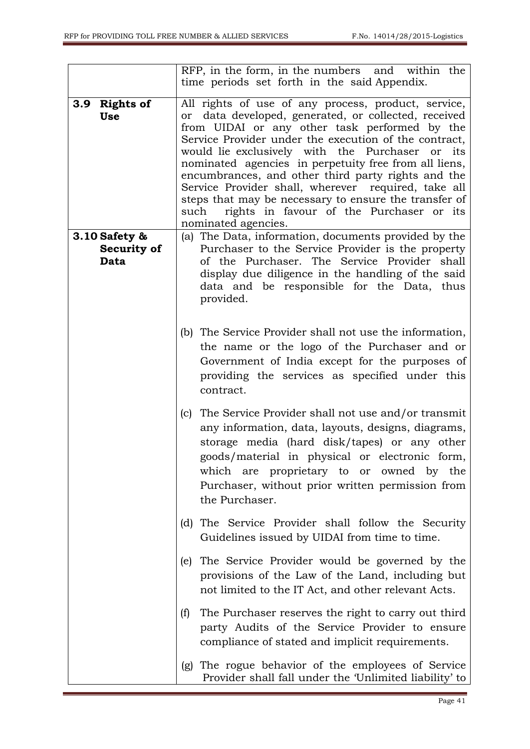|     |                                             | RFP, in the form, in the numbers and within the<br>time periods set forth in the said Appendix.                                                                                                                                                                                                                                                                                                                                                                                                                                                                                    |
|-----|---------------------------------------------|------------------------------------------------------------------------------------------------------------------------------------------------------------------------------------------------------------------------------------------------------------------------------------------------------------------------------------------------------------------------------------------------------------------------------------------------------------------------------------------------------------------------------------------------------------------------------------|
| 3.9 | <b>Rights of</b><br><b>Use</b>              | All rights of use of any process, product, service,<br>or data developed, generated, or collected, received<br>from UIDAI or any other task performed by the<br>Service Provider under the execution of the contract,<br>would lie exclusively with the Purchaser or its<br>nominated agencies in perpetuity free from all liens,<br>encumbrances, and other third party rights and the<br>Service Provider shall, wherever required, take all<br>steps that may be necessary to ensure the transfer of<br>rights in favour of the Purchaser or its<br>such<br>nominated agencies. |
|     | 3.10 Safety &<br><b>Security of</b><br>Data | (a) The Data, information, documents provided by the<br>Purchaser to the Service Provider is the property<br>of the Purchaser. The Service Provider shall<br>display due diligence in the handling of the said<br>data and be responsible for the Data, thus<br>provided.                                                                                                                                                                                                                                                                                                          |
|     |                                             | (b) The Service Provider shall not use the information,<br>the name or the logo of the Purchaser and or<br>Government of India except for the purposes of<br>providing the services as specified under this<br>contract.                                                                                                                                                                                                                                                                                                                                                           |
|     |                                             | (c) The Service Provider shall not use and/or transmit<br>any information, data, layouts, designs, diagrams,<br>storage media (hard disk/tapes) or any other<br>goods/material in physical or electronic form,<br>which are proprietary to or owned by the<br>Purchaser, without prior written permission from<br>the Purchaser.                                                                                                                                                                                                                                                   |
|     |                                             | The Service Provider shall follow the Security<br>(d)<br>Guidelines issued by UIDAI from time to time.                                                                                                                                                                                                                                                                                                                                                                                                                                                                             |
|     |                                             | The Service Provider would be governed by the<br>(e)<br>provisions of the Law of the Land, including but<br>not limited to the IT Act, and other relevant Acts.                                                                                                                                                                                                                                                                                                                                                                                                                    |
|     |                                             | The Purchaser reserves the right to carry out third<br>(f)<br>party Audits of the Service Provider to ensure<br>compliance of stated and implicit requirements.                                                                                                                                                                                                                                                                                                                                                                                                                    |
|     |                                             | (g) The rogue behavior of the employees of Service<br>Provider shall fall under the 'Unlimited liability' to                                                                                                                                                                                                                                                                                                                                                                                                                                                                       |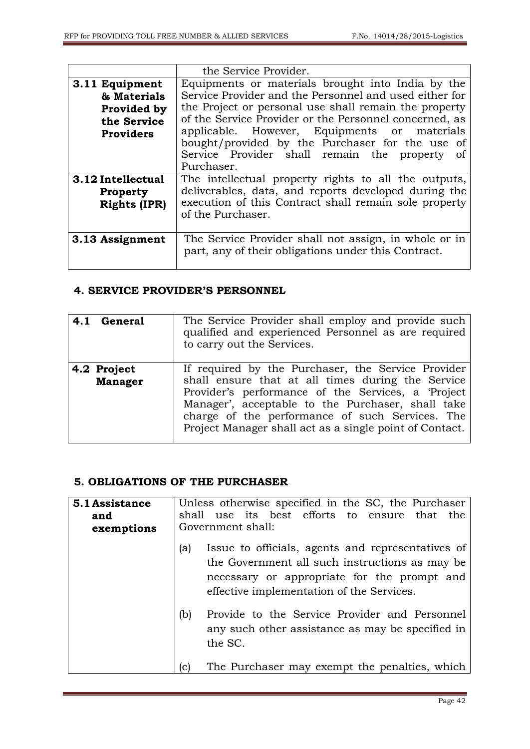|                     | the Service Provider.                                  |  |  |  |  |  |  |
|---------------------|--------------------------------------------------------|--|--|--|--|--|--|
| 3.11 Equipment      | Equipments or materials brought into India by the      |  |  |  |  |  |  |
| & Materials         | Service Provider and the Personnel and used either for |  |  |  |  |  |  |
| Provided by         | the Project or personal use shall remain the property  |  |  |  |  |  |  |
| the Service         | of the Service Provider or the Personnel concerned, as |  |  |  |  |  |  |
| <b>Providers</b>    | applicable. However, Equipments or materials           |  |  |  |  |  |  |
|                     | bought/provided by the Purchaser for the use of        |  |  |  |  |  |  |
|                     | Service Provider shall remain the property<br>- of     |  |  |  |  |  |  |
|                     | Purchaser.                                             |  |  |  |  |  |  |
| 3.12 Intellectual   | The intellectual property rights to all the outputs,   |  |  |  |  |  |  |
| <b>Property</b>     | deliverables, data, and reports developed during the   |  |  |  |  |  |  |
| <b>Rights (IPR)</b> | execution of this Contract shall remain sole property  |  |  |  |  |  |  |
|                     | of the Purchaser.                                      |  |  |  |  |  |  |
|                     |                                                        |  |  |  |  |  |  |
| 3.13 Assignment     | The Service Provider shall not assign, in whole or in  |  |  |  |  |  |  |
|                     | part, any of their obligations under this Contract.    |  |  |  |  |  |  |
|                     |                                                        |  |  |  |  |  |  |

#### **4. SERVICE PROVIDER"S PERSONNEL**

| 4.1 General                   | The Service Provider shall employ and provide such<br>qualified and experienced Personnel as are required<br>to carry out the Services.                                                                                                                                                                                          |
|-------------------------------|----------------------------------------------------------------------------------------------------------------------------------------------------------------------------------------------------------------------------------------------------------------------------------------------------------------------------------|
| 4.2 Project<br><b>Manager</b> | If required by the Purchaser, the Service Provider<br>shall ensure that at all times during the Service<br>Provider's performance of the Services, a 'Project<br>Manager', acceptable to the Purchaser, shall take<br>charge of the performance of such Services. The<br>Project Manager shall act as a single point of Contact. |

#### **5. OBLIGATIONS OF THE PURCHASER**

| 5.1 Assistance<br>and<br>exemptions |                                                                                                                                                                                                        | Unless otherwise specified in the SC, the Purchaser<br>shall use its best efforts to ensure that the<br>Government shall: |  |  |  |  |  |  |
|-------------------------------------|--------------------------------------------------------------------------------------------------------------------------------------------------------------------------------------------------------|---------------------------------------------------------------------------------------------------------------------------|--|--|--|--|--|--|
|                                     | Issue to officials, agents and representatives of<br>(a)<br>the Government all such instructions as may be<br>necessary or appropriate for the prompt and<br>effective implementation of the Services. |                                                                                                                           |  |  |  |  |  |  |
|                                     | (b)                                                                                                                                                                                                    | Provide to the Service Provider and Personnel<br>any such other assistance as may be specified in<br>the SC.              |  |  |  |  |  |  |
|                                     | (c)                                                                                                                                                                                                    | The Purchaser may exempt the penalties, which                                                                             |  |  |  |  |  |  |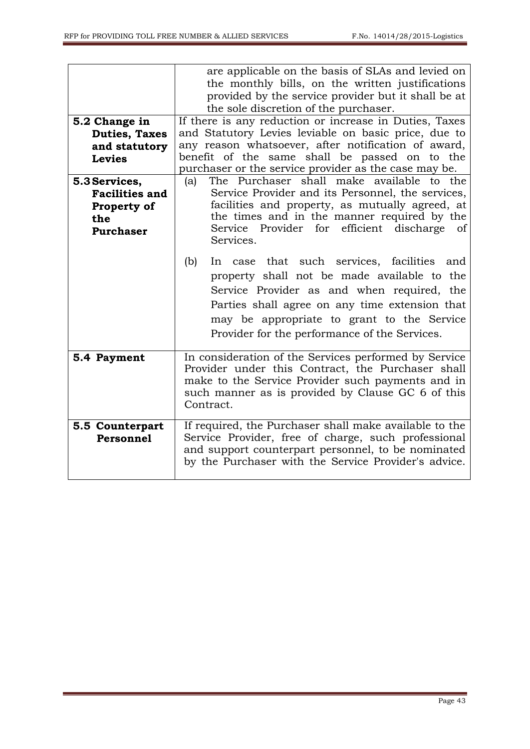| 5.2 Change in<br><b>Duties, Taxes</b><br>and statutory<br><b>Levies</b><br>5.3 Services,<br><b>Facilities and</b><br><b>Property of</b><br>the<br><b>Purchaser</b> | are applicable on the basis of SLAs and levied on<br>the monthly bills, on the written justifications<br>provided by the service provider but it shall be at<br>the sole discretion of the purchaser.<br>If there is any reduction or increase in Duties, Taxes<br>and Statutory Levies leviable on basic price, due to<br>any reason whatsoever, after notification of award,<br>benefit of the same shall be passed on to the<br>purchaser or the service provider as the case may be.<br>The Purchaser shall make available<br>to the<br>(a)<br>Service Provider and its Personnel, the services,<br>facilities and property, as mutually agreed, at<br>the times and in the manner required by the<br>Service Provider for efficient discharge<br><sub>of</sub><br>Services. |
|--------------------------------------------------------------------------------------------------------------------------------------------------------------------|----------------------------------------------------------------------------------------------------------------------------------------------------------------------------------------------------------------------------------------------------------------------------------------------------------------------------------------------------------------------------------------------------------------------------------------------------------------------------------------------------------------------------------------------------------------------------------------------------------------------------------------------------------------------------------------------------------------------------------------------------------------------------------|
|                                                                                                                                                                    | In case that such services, facilities and<br>(b)<br>property shall not be made available to the<br>Service Provider as and when required, the<br>Parties shall agree on any time extension that<br>may be appropriate to grant to the Service<br>Provider for the performance of the Services.                                                                                                                                                                                                                                                                                                                                                                                                                                                                                  |
| 5.4 Payment                                                                                                                                                        | In consideration of the Services performed by Service<br>Provider under this Contract, the Purchaser shall<br>make to the Service Provider such payments and in<br>such manner as is provided by Clause GC 6 of this<br>Contract.                                                                                                                                                                                                                                                                                                                                                                                                                                                                                                                                                |
| 5.5 Counterpart<br>Personnel                                                                                                                                       | If required, the Purchaser shall make available to the<br>Service Provider, free of charge, such professional<br>and support counterpart personnel, to be nominated<br>by the Purchaser with the Service Provider's advice.                                                                                                                                                                                                                                                                                                                                                                                                                                                                                                                                                      |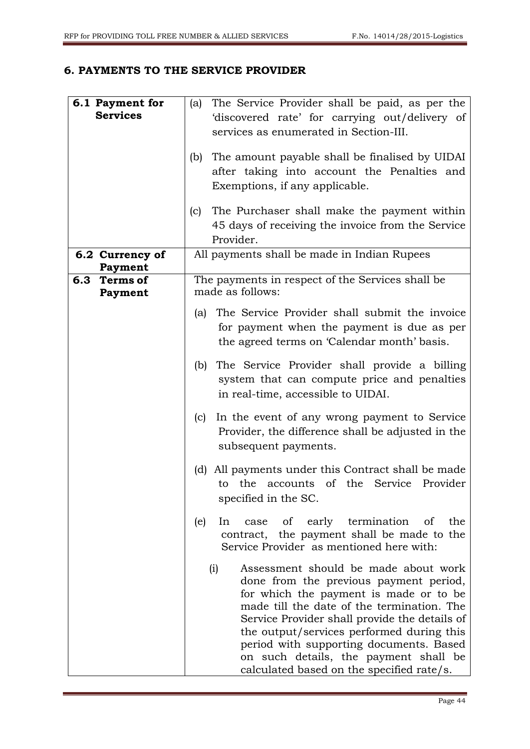#### **6. PAYMENTS TO THE SERVICE PROVIDER**

| 6.1 Payment for<br><b>Services</b> | The Service Provider shall be paid, as per the<br>(a)<br>'discovered rate' for carrying out/delivery of                                                                                                                                                                                                                                                                                                      |  |  |  |  |  |  |
|------------------------------------|--------------------------------------------------------------------------------------------------------------------------------------------------------------------------------------------------------------------------------------------------------------------------------------------------------------------------------------------------------------------------------------------------------------|--|--|--|--|--|--|
|                                    | services as enumerated in Section-III.                                                                                                                                                                                                                                                                                                                                                                       |  |  |  |  |  |  |
|                                    | The amount payable shall be finalised by UIDAI<br>(b)<br>after taking into account the Penalties and<br>Exemptions, if any applicable.                                                                                                                                                                                                                                                                       |  |  |  |  |  |  |
|                                    | The Purchaser shall make the payment within<br>(c)<br>45 days of receiving the invoice from the Service<br>Provider.                                                                                                                                                                                                                                                                                         |  |  |  |  |  |  |
| 6.2 Currency of<br>Payment         | All payments shall be made in Indian Rupees                                                                                                                                                                                                                                                                                                                                                                  |  |  |  |  |  |  |
| 6.3<br><b>Terms of</b><br>Payment  | The payments in respect of the Services shall be<br>made as follows:                                                                                                                                                                                                                                                                                                                                         |  |  |  |  |  |  |
|                                    | The Service Provider shall submit the invoice<br>(a)<br>for payment when the payment is due as per<br>the agreed terms on 'Calendar month' basis.                                                                                                                                                                                                                                                            |  |  |  |  |  |  |
|                                    | The Service Provider shall provide a billing<br>(b)<br>system that can compute price and penalties<br>in real-time, accessible to UIDAI.                                                                                                                                                                                                                                                                     |  |  |  |  |  |  |
|                                    | In the event of any wrong payment to Service<br>(c)<br>Provider, the difference shall be adjusted in the<br>subsequent payments.                                                                                                                                                                                                                                                                             |  |  |  |  |  |  |
|                                    | (d) All payments under this Contract shall be made<br>to the accounts of the Service Provider<br>specified in the SC.                                                                                                                                                                                                                                                                                        |  |  |  |  |  |  |
|                                    | early termination of<br>of<br>the<br>(e)<br>In<br>case<br>contract, the payment shall be made to the<br>Service Provider as mentioned here with:                                                                                                                                                                                                                                                             |  |  |  |  |  |  |
|                                    | Assessment should be made about work<br>(i)<br>done from the previous payment period,<br>for which the payment is made or to be<br>made till the date of the termination. The<br>Service Provider shall provide the details of<br>the output/services performed during this<br>period with supporting documents. Based<br>on such details, the payment shall be<br>calculated based on the specified rate/s. |  |  |  |  |  |  |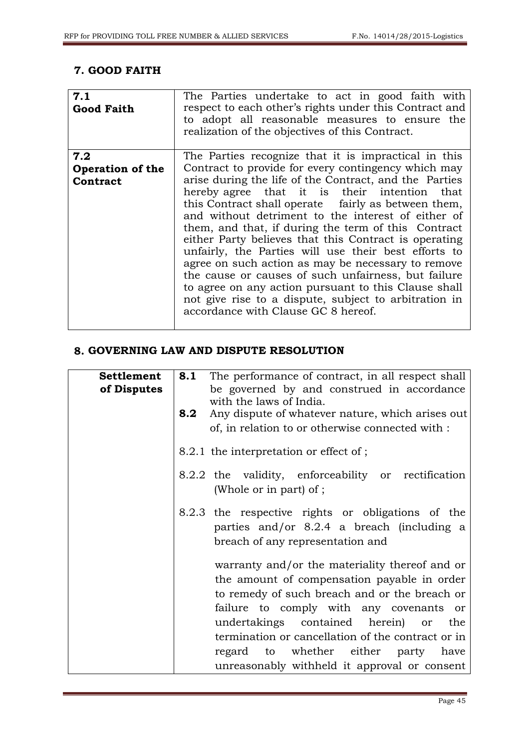#### **7. GOOD FAITH**

| 7.1<br><b>Good Faith</b>                   | The Parties undertake to act in good faith with<br>respect to each other's rights under this Contract and<br>to adopt all reasonable measures to ensure the<br>realization of the objectives of this Contract.                                                                                                                                                                                                                                                                                                                                                                                                                                                                                                                                                                  |
|--------------------------------------------|---------------------------------------------------------------------------------------------------------------------------------------------------------------------------------------------------------------------------------------------------------------------------------------------------------------------------------------------------------------------------------------------------------------------------------------------------------------------------------------------------------------------------------------------------------------------------------------------------------------------------------------------------------------------------------------------------------------------------------------------------------------------------------|
| 7.2<br><b>Operation of the</b><br>Contract | The Parties recognize that it is impractical in this<br>Contract to provide for every contingency which may<br>arise during the life of the Contract, and the Parties<br>hereby agree that it is their intention that<br>this Contract shall operate fairly as between them,<br>and without detriment to the interest of either of<br>them, and that, if during the term of this Contract<br>either Party believes that this Contract is operating<br>unfairly, the Parties will use their best efforts to<br>agree on such action as may be necessary to remove<br>the cause or causes of such unfairness, but failure<br>to agree on any action pursuant to this Clause shall<br>not give rise to a dispute, subject to arbitration in<br>accordance with Clause GC 8 hereof. |

#### **8. GOVERNING LAW AND DISPUTE RESOLUTION**

| <b>Settlement</b> | 8.1 | The performance of contract, in all respect shall   |  |  |  |  |  |  |  |
|-------------------|-----|-----------------------------------------------------|--|--|--|--|--|--|--|
| of Disputes       |     | be governed by and construed in accordance          |  |  |  |  |  |  |  |
|                   |     | with the laws of India.                             |  |  |  |  |  |  |  |
|                   | 8.2 | Any dispute of whatever nature, which arises out    |  |  |  |  |  |  |  |
|                   |     | of, in relation to or otherwise connected with :    |  |  |  |  |  |  |  |
|                   |     | 8.2.1 the interpretation or effect of;              |  |  |  |  |  |  |  |
|                   |     | 8.2.2 the validity, enforceability or rectification |  |  |  |  |  |  |  |
|                   |     | (Whole or in part) of ;                             |  |  |  |  |  |  |  |
|                   |     | 8.2.3 the respective rights or obligations of the   |  |  |  |  |  |  |  |
|                   |     | parties and/or 8.2.4 a breach (including a          |  |  |  |  |  |  |  |
|                   |     | breach of any representation and                    |  |  |  |  |  |  |  |
|                   |     | warranty and/or the materiality thereof and or      |  |  |  |  |  |  |  |
|                   |     | the amount of compensation payable in order         |  |  |  |  |  |  |  |
|                   |     | to remedy of such breach and or the breach or       |  |  |  |  |  |  |  |
|                   |     | failure to comply with any covenants or             |  |  |  |  |  |  |  |
|                   |     | undertakings contained herein) or<br>the            |  |  |  |  |  |  |  |
|                   |     | termination or cancellation of the contract or in   |  |  |  |  |  |  |  |
|                   |     | regard to whether either party have                 |  |  |  |  |  |  |  |
|                   |     |                                                     |  |  |  |  |  |  |  |
|                   |     | unreasonably withheld it approval or consent        |  |  |  |  |  |  |  |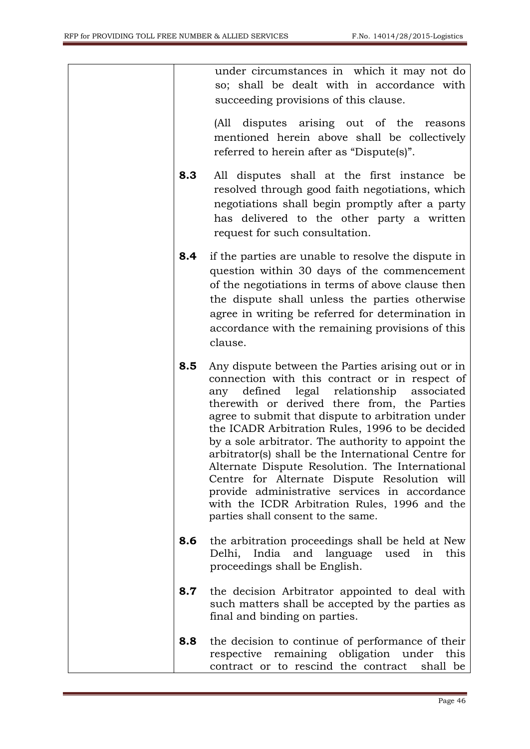under circumstances in which it may not do so; shall be dealt with in accordance with succeeding provisions of this clause. (All disputes arising out of the reasons mentioned herein above shall be collectively referred to herein after as "Dispute(s)". **8.3** All disputes shall at the first instance be resolved through good faith negotiations, which negotiations shall begin promptly after a party has delivered to the other party a written request for such consultation. **8.4** if the parties are unable to resolve the dispute in question within 30 days of the commencement of the negotiations in terms of above clause then the dispute shall unless the parties otherwise agree in writing be referred for determination in accordance with the remaining provisions of this clause. **8.5** Any dispute between the Parties arising out or in connection with this contract or in respect of any defined legal relationship associated therewith or derived there from, the Parties agree to submit that dispute to arbitration under the ICADR Arbitration Rules, 1996 to be decided by a sole arbitrator. The authority to appoint the arbitrator(s) shall be the International Centre for Alternate Dispute Resolution. The International Centre for Alternate Dispute Resolution will provide administrative services in accordance with the ICDR Arbitration Rules, 1996 and the parties shall consent to the same. **8.6** the arbitration proceedings shall be held at New Delhi, India and language used in this proceedings shall be English. **8.7** the decision Arbitrator appointed to deal with such matters shall be accepted by the parties as final and binding on parties. **8.8** the decision to continue of performance of their respective remaining obligation under this contract or to rescind the contract shall be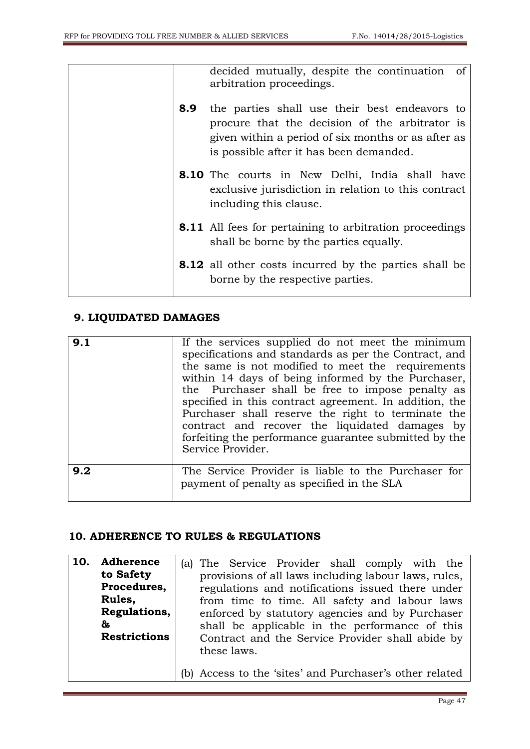|     | decided mutually, despite the continuation of<br>arbitration proceedings.                                                                                                                        |
|-----|--------------------------------------------------------------------------------------------------------------------------------------------------------------------------------------------------|
| 8.9 | the parties shall use their best endeavors to<br>procure that the decision of the arbitrator is<br>given within a period of six months or as after as<br>is possible after it has been demanded. |
|     | 8.10 The courts in New Delhi, India shall have<br>exclusive jurisdiction in relation to this contract<br>including this clause.                                                                  |
|     | <b>8.11</b> All fees for pertaining to arbitration proceedings<br>shall be borne by the parties equally.                                                                                         |
|     | <b>8.12</b> all other costs incurred by the parties shall be<br>borne by the respective parties.                                                                                                 |

## **9. LIQUIDATED DAMAGES**

| 9.1 | If the services supplied do not meet the minimum<br>specifications and standards as per the Contract, and<br>the same is not modified to meet the requirements<br>within 14 days of being informed by the Purchaser,<br>the Purchaser shall be free to impose penalty as<br>specified in this contract agreement. In addition, the<br>Purchaser shall reserve the right to terminate the<br>contract and recover the liquidated damages by<br>forfeiting the performance guarantee submitted by the<br>Service Provider. |
|-----|--------------------------------------------------------------------------------------------------------------------------------------------------------------------------------------------------------------------------------------------------------------------------------------------------------------------------------------------------------------------------------------------------------------------------------------------------------------------------------------------------------------------------|
| 9.2 | The Service Provider is liable to the Purchaser for<br>payment of penalty as specified in the SLA                                                                                                                                                                                                                                                                                                                                                                                                                        |

#### **10. ADHERENCE TO RULES & REGULATIONS**

| 10. | Adherence<br>to Safety<br>Procedures,<br>Rules,<br>Regulations,<br>&<br><b>Restrictions</b> | (a) The Service Provider shall comply with the<br>provisions of all laws including labour laws, rules,<br>regulations and notifications issued there under<br>from time to time. All safety and labour laws<br>enforced by statutory agencies and by Purchaser<br>shall be applicable in the performance of this<br>Contract and the Service Provider shall abide by<br>these laws. |
|-----|---------------------------------------------------------------------------------------------|-------------------------------------------------------------------------------------------------------------------------------------------------------------------------------------------------------------------------------------------------------------------------------------------------------------------------------------------------------------------------------------|
|     |                                                                                             | (b) Access to the 'sites' and Purchaser's other related                                                                                                                                                                                                                                                                                                                             |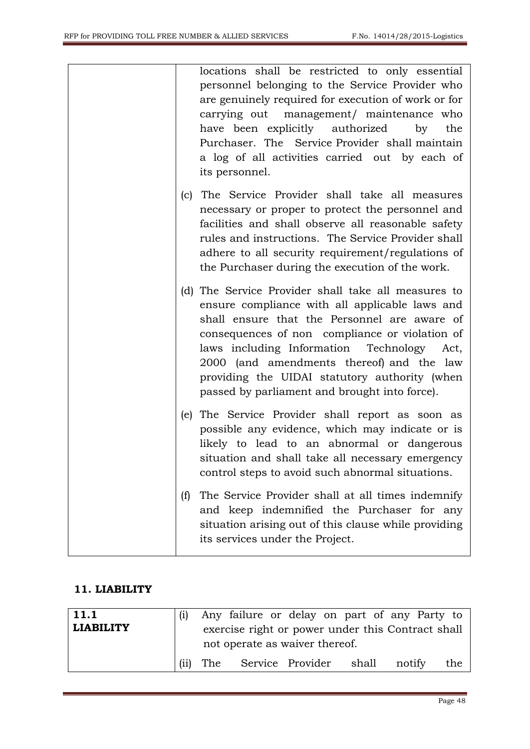|     | locations shall be restricted to only essential<br>personnel belonging to the Service Provider who<br>are genuinely required for execution of work or for<br>carrying out management/ maintenance who<br>have been explicitly authorized<br>by<br>the<br>Purchaser. The Service Provider shall maintain<br>a log of all activities carried out by each of<br>its personnel.                             |
|-----|---------------------------------------------------------------------------------------------------------------------------------------------------------------------------------------------------------------------------------------------------------------------------------------------------------------------------------------------------------------------------------------------------------|
| (c) | The Service Provider shall take all measures<br>necessary or proper to protect the personnel and<br>facilities and shall observe all reasonable safety<br>rules and instructions. The Service Provider shall<br>adhere to all security requirement/regulations of<br>the Purchaser during the execution of the work.                                                                                    |
|     | (d) The Service Provider shall take all measures to<br>ensure compliance with all applicable laws and<br>shall ensure that the Personnel are aware of<br>consequences of non compliance or violation of<br>laws including Information Technology<br>Act,<br>2000 (and amendments thereof) and the law<br>providing the UIDAI statutory authority (when<br>passed by parliament and brought into force). |
|     | (e) The Service Provider shall report as soon as<br>possible any evidence, which may indicate or is<br>likely to lead to an abnormal or dangerous<br>situation and shall take all necessary emergency<br>control steps to avoid such abnormal situations.                                                                                                                                               |
| (f) | The Service Provider shall at all times indemnify<br>and keep indemnified the Purchaser for any<br>situation arising out of this clause while providing<br>its services under the Project.                                                                                                                                                                                                              |

#### **11. LIABILITY**

| 11.1<br><b>LIABILITY</b> |  | not operate as waiver thereof.  | Any failure or delay on part of any Party to<br>exercise right or power under this Contract shall |        |     |
|--------------------------|--|---------------------------------|---------------------------------------------------------------------------------------------------|--------|-----|
|                          |  | (ii) The Service Provider shall |                                                                                                   | notify | the |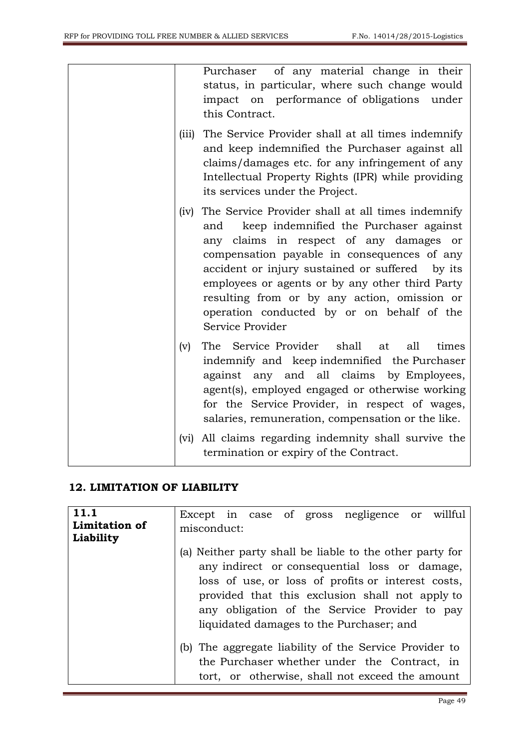|       | Purchaser of any material change in their<br>status, in particular, where such change would<br>impact on performance of obligations under<br>this Contract.                                                                                                                                                                                                                                                          |
|-------|----------------------------------------------------------------------------------------------------------------------------------------------------------------------------------------------------------------------------------------------------------------------------------------------------------------------------------------------------------------------------------------------------------------------|
| (iii) | The Service Provider shall at all times indemnify<br>and keep indemnified the Purchaser against all<br>claims/damages etc. for any infringement of any<br>Intellectual Property Rights (IPR) while providing<br>its services under the Project.                                                                                                                                                                      |
| (iv)  | The Service Provider shall at all times indemnify<br>keep indemnified the Purchaser against<br>and<br>any claims in respect of any damages or<br>compensation payable in consequences of any<br>accident or injury sustained or suffered by its<br>employees or agents or by any other third Party<br>resulting from or by any action, omission or<br>operation conducted by or on behalf of the<br>Service Provider |
| (v)   | The Service Provider shall at<br>all<br>times<br>indemnify and keep indemnified the Purchaser<br>against any and all claims by Employees,<br>agent(s), employed engaged or otherwise working<br>for the Service Provider, in respect of wages,<br>salaries, remuneration, compensation or the like.                                                                                                                  |
|       | (vi) All claims regarding indemnity shall survive the<br>termination or expiry of the Contract.                                                                                                                                                                                                                                                                                                                      |

#### **12. LIMITATION OF LIABILITY**

| 11.1                       | Except in case of gross negligence or willful                                                                                                                                                                                                                                                                   |
|----------------------------|-----------------------------------------------------------------------------------------------------------------------------------------------------------------------------------------------------------------------------------------------------------------------------------------------------------------|
| Limitation of<br>Liability | misconduct:                                                                                                                                                                                                                                                                                                     |
|                            | (a) Neither party shall be liable to the other party for<br>any indirect or consequential loss or damage,<br>loss of use, or loss of profits or interest costs,<br>provided that this exclusion shall not apply to<br>any obligation of the Service Provider to pay<br>liquidated damages to the Purchaser; and |
|                            | (b) The aggregate liability of the Service Provider to<br>the Purchaser whether under the Contract, in<br>tort, or otherwise, shall not exceed the amount                                                                                                                                                       |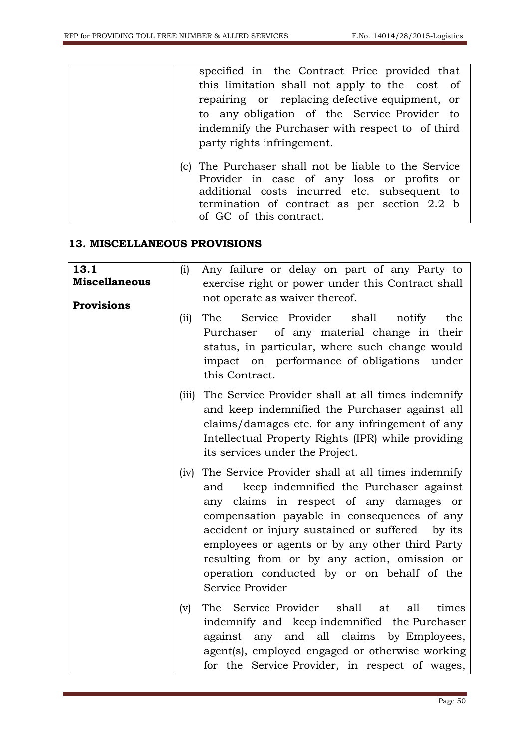| specified in the Contract Price provided that        |
|------------------------------------------------------|
| this limitation shall not apply to the cost of       |
| repairing or replacing defective equipment, or       |
| to any obligation of the Service Provider to         |
| indemnify the Purchaser with respect to of third     |
| party rights infringement.                           |
| (c) The Purchaser shall not be liable to the Service |
| Provider in case of any loss or profits or           |
| additional costs incurred etc. subsequent to         |
| termination of contract as per section 2.2 b         |
| of GC of this contract.                              |

#### **13. MISCELLANEOUS PROVISIONS**

| 13.1<br><b>Miscellaneous</b><br><b>Provisions</b> | (i)<br>(ii) | Any failure or delay on part of any Party to<br>exercise right or power under this Contract shall<br>not operate as waiver thereof.<br>Service Provider shall notify<br>The<br>the<br>of any material change in their<br>Purchaser<br>status, in particular, where such change would<br>impact on performance of obligations under<br>this Contract.                                                                 |
|---------------------------------------------------|-------------|----------------------------------------------------------------------------------------------------------------------------------------------------------------------------------------------------------------------------------------------------------------------------------------------------------------------------------------------------------------------------------------------------------------------|
|                                                   | (iii)       | The Service Provider shall at all times indemnify<br>and keep indemnified the Purchaser against all<br>claims/damages etc. for any infringement of any<br>Intellectual Property Rights (IPR) while providing<br>its services under the Project.                                                                                                                                                                      |
|                                                   | (iv)        | The Service Provider shall at all times indemnify<br>keep indemnified the Purchaser against<br>and<br>any claims in respect of any damages or<br>compensation payable in consequences of any<br>accident or injury sustained or suffered by its<br>employees or agents or by any other third Party<br>resulting from or by any action, omission or<br>operation conducted by or on behalf of the<br>Service Provider |
|                                                   | (v)         | The Service Provider shall at all<br>times<br>indemnify and keep indemnified the Purchaser<br>against any and all claims by Employees,<br>agent(s), employed engaged or otherwise working<br>for the Service Provider, in respect of wages,                                                                                                                                                                          |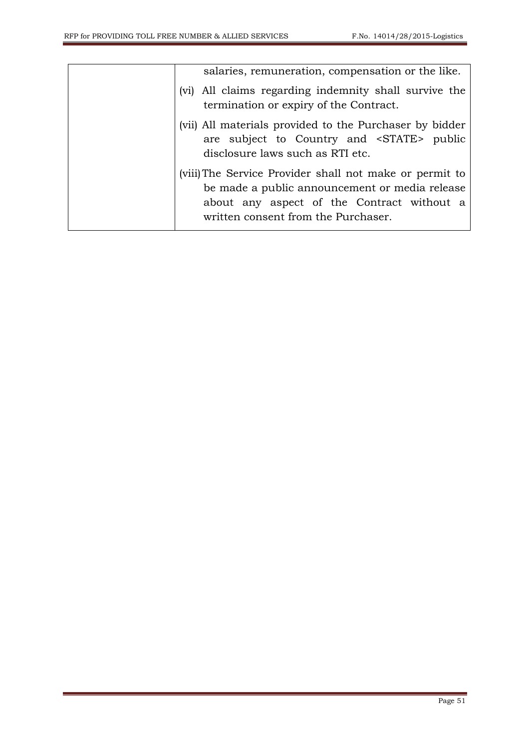| salaries, remuneration, compensation or the like.                                                                                                                                              |
|------------------------------------------------------------------------------------------------------------------------------------------------------------------------------------------------|
| (vi) All claims regarding indemnity shall survive the<br>termination or expiry of the Contract.                                                                                                |
| (vii) All materials provided to the Purchaser by bidder<br>are subject to Country and <state> public<br/>disclosure laws such as RTI etc.</state>                                              |
| (viii) The Service Provider shall not make or permit to<br>be made a public announcement or media release<br>about any aspect of the Contract without a<br>written consent from the Purchaser. |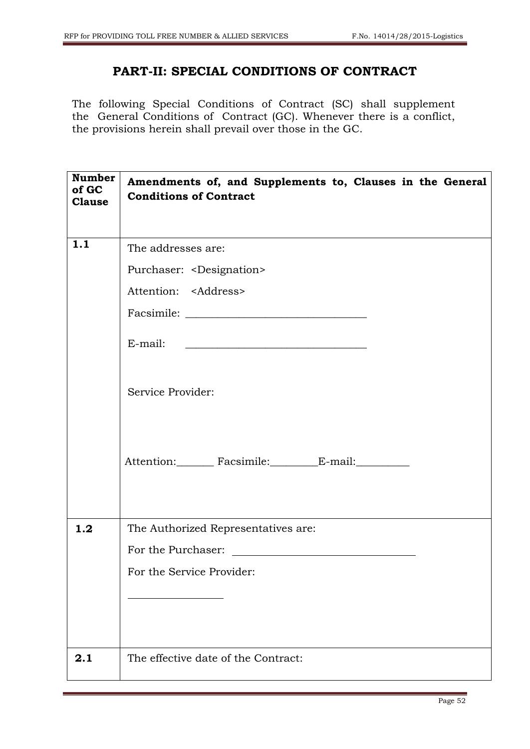#### **PART-II: SPECIAL CONDITIONS OF CONTRACT**

<span id="page-51-0"></span>The following Special Conditions of Contract (SC) shall supplement the General Conditions of Contract (GC). Whenever there is a conflict, the provisions herein shall prevail over those in the GC.

| <b>Number</b><br>of GC<br><b>Clause</b> | Amendments of, and Supplements to, Clauses in the General<br><b>Conditions of Contract</b> |
|-----------------------------------------|--------------------------------------------------------------------------------------------|
| 1.1                                     | The addresses are:                                                                         |
|                                         | Purchaser: <designation></designation>                                                     |
|                                         | Attention: <address></address>                                                             |
|                                         |                                                                                            |
|                                         | E-mail:                                                                                    |
|                                         | Service Provider:                                                                          |
|                                         | Attention: Facsimile: E-mail:                                                              |
| 1.2                                     | The Authorized Representatives are:                                                        |
|                                         |                                                                                            |
|                                         | For the Service Provider:                                                                  |
|                                         |                                                                                            |
|                                         |                                                                                            |
| 2.1                                     | The effective date of the Contract:                                                        |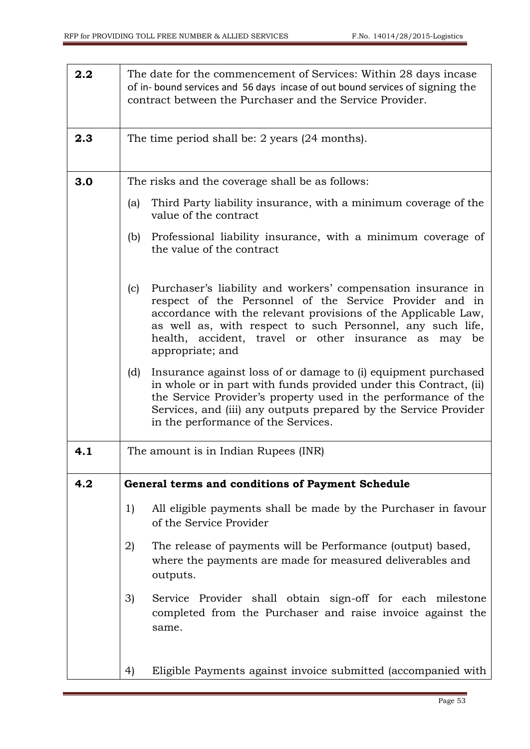| 2.2 | The date for the commencement of Services: Within 28 days incase<br>of in-bound services and 56 days incase of out bound services of signing the<br>contract between the Purchaser and the Service Provider.                                                                                                                                   |  |  |  |  |
|-----|------------------------------------------------------------------------------------------------------------------------------------------------------------------------------------------------------------------------------------------------------------------------------------------------------------------------------------------------|--|--|--|--|
| 2.3 | The time period shall be: 2 years (24 months).                                                                                                                                                                                                                                                                                                 |  |  |  |  |
| 3.0 | The risks and the coverage shall be as follows:                                                                                                                                                                                                                                                                                                |  |  |  |  |
|     | Third Party liability insurance, with a minimum coverage of the<br>(a)<br>value of the contract                                                                                                                                                                                                                                                |  |  |  |  |
|     | Professional liability insurance, with a minimum coverage of<br>(b)<br>the value of the contract                                                                                                                                                                                                                                               |  |  |  |  |
|     | Purchaser's liability and workers' compensation insurance in<br>(c)<br>respect of the Personnel of the Service Provider and in<br>accordance with the relevant provisions of the Applicable Law,<br>as well as, with respect to such Personnel, any such life,<br>health, accident, travel or other insurance as<br>may be<br>appropriate; and |  |  |  |  |
|     | Insurance against loss of or damage to (i) equipment purchased<br>(d)<br>in whole or in part with funds provided under this Contract, (ii)<br>the Service Provider's property used in the performance of the<br>Services, and (iii) any outputs prepared by the Service Provider<br>in the performance of the Services.                        |  |  |  |  |
| 4.1 | The amount is in Indian Rupees (INR)                                                                                                                                                                                                                                                                                                           |  |  |  |  |
| 4.2 | General terms and conditions of Payment Schedule                                                                                                                                                                                                                                                                                               |  |  |  |  |
|     | 1)<br>All eligible payments shall be made by the Purchaser in favour<br>of the Service Provider                                                                                                                                                                                                                                                |  |  |  |  |
|     | 2)<br>The release of payments will be Performance (output) based,<br>where the payments are made for measured deliverables and<br>outputs.                                                                                                                                                                                                     |  |  |  |  |
|     | 3)<br>Service Provider shall obtain sign-off for each milestone<br>completed from the Purchaser and raise invoice against the<br>same.                                                                                                                                                                                                         |  |  |  |  |
|     | Eligible Payments against invoice submitted (accompanied with<br>4)                                                                                                                                                                                                                                                                            |  |  |  |  |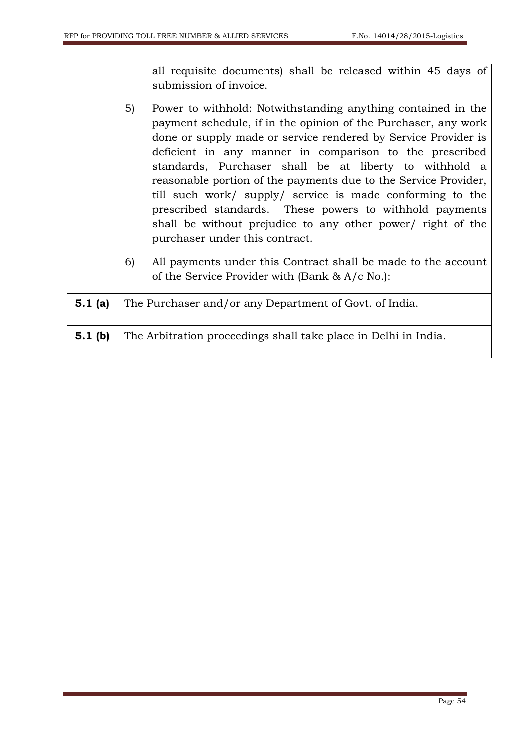all requisite documents) shall be released within 45 days of submission of invoice.

|                    | 5)<br>6)                                                        | Power to withhold: Notwithstanding anything contained in the<br>payment schedule, if in the opinion of the Purchaser, any work<br>done or supply made or service rendered by Service Provider is<br>deficient in any manner in comparison to the prescribed<br>standards, Purchaser shall be at liberty to withhold a<br>reasonable portion of the payments due to the Service Provider,<br>till such work/ supply/ service is made conforming to the<br>prescribed standards. These powers to withhold payments<br>shall be without prejudice to any other power right of the<br>purchaser under this contract.<br>All payments under this Contract shall be made to the account<br>of the Service Provider with (Bank $\&$ A/c No.): |  |
|--------------------|-----------------------------------------------------------------|----------------------------------------------------------------------------------------------------------------------------------------------------------------------------------------------------------------------------------------------------------------------------------------------------------------------------------------------------------------------------------------------------------------------------------------------------------------------------------------------------------------------------------------------------------------------------------------------------------------------------------------------------------------------------------------------------------------------------------------|--|
| 5.1(a)             |                                                                 | The Purchaser and/or any Department of Govt. of India.                                                                                                                                                                                                                                                                                                                                                                                                                                                                                                                                                                                                                                                                                 |  |
| 5.1 <sub>(b)</sub> | The Arbitration proceedings shall take place in Delhi in India. |                                                                                                                                                                                                                                                                                                                                                                                                                                                                                                                                                                                                                                                                                                                                        |  |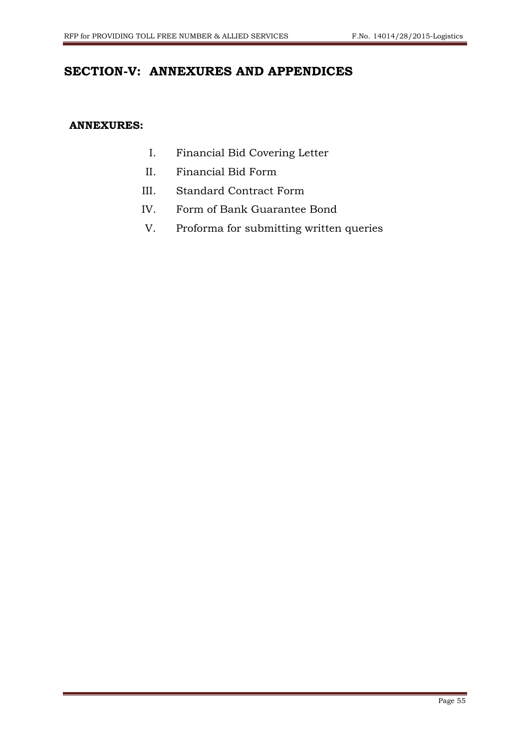## <span id="page-54-0"></span>**SECTION-V: ANNEXURES AND APPENDICES**

#### **ANNEXURES:**

- I. Financial Bid Covering Letter
- II. Financial Bid Form
- III. Standard Contract Form
- IV. Form of Bank Guarantee Bond
- V. Proforma for submitting written queries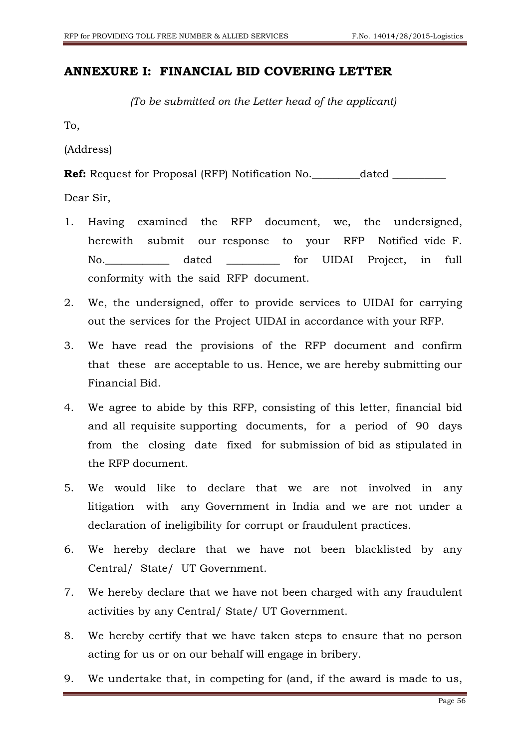## <span id="page-55-0"></span>**ANNEXURE I: FINANCIAL BID COVERING LETTER**

*(To be submitted on the Letter head of the applicant)*

To,

(Address)

**Ref:** Request for Proposal (RFP) Notification No. \_\_\_\_\_\_\_\_\_ dated \_\_\_\_\_\_\_\_\_\_\_\_\_

Dear Sir,

- 1. Having examined the RFP document, we, the undersigned, herewith submit our response to your RFP Notified vide F. No. The dated the state of the MDAI Project, in full and the dated the state of the state of the state of the s conformity with the said RFP document.
- 2. We, the undersigned, offer to provide services to UIDAI for carrying out the services for the Project UIDAI in accordance with your RFP.
- 3. We have read the provisions of the RFP document and confirm that these are acceptable to us. Hence, we are hereby submitting our Financial Bid.
- 4. We agree to abide by this RFP, consisting of this letter, financial bid and all requisite supporting documents, for a period of 90 days from the closing date fixed for submission of bid as stipulated in the RFP document.
- 5. We would like to declare that we are not involved in any litigation with any Government in India and we are not under a declaration of ineligibility for corrupt or fraudulent practices.
- 6. We hereby declare that we have not been blacklisted by any Central/ State/ UT Government.
- 7. We hereby declare that we have not been charged with any fraudulent activities by any Central/ State/ UT Government.
- 8. We hereby certify that we have taken steps to ensure that no person acting for us or on our behalf will engage in bribery.
- 9. We undertake that, in competing for (and, if the award is made to us,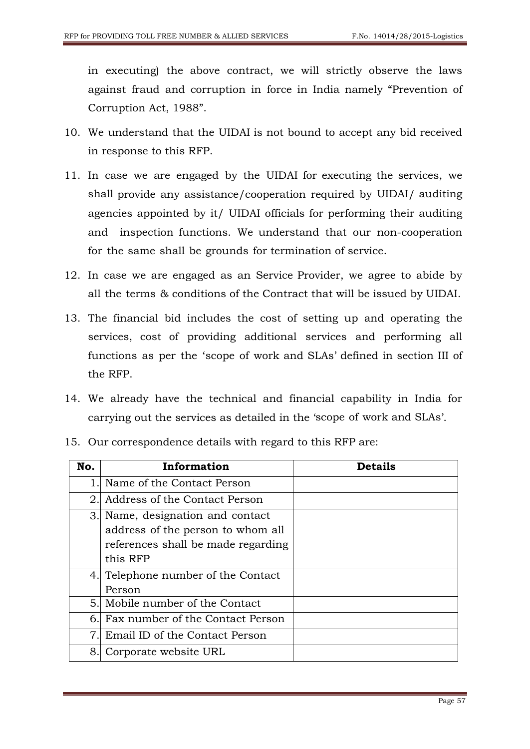in executing) the above contract, we will strictly observe the laws against fraud and corruption in force in India namely "Prevention of Corruption Act, 1988".

- 10. We understand that the UIDAI is not bound to accept any bid received in response to this RFP.
- 11. In case we are engaged by the UIDAI for executing the services, we shall provide any assistance/cooperation required by UIDAI/ auditing agencies appointed by it/ UIDAI officials for performing their auditing and inspection functions. We understand that our non-cooperation for the same shall be grounds for termination of service.
- 12. In case we are engaged as an Service Provider, we agree to abide by all the terms & conditions of the Contract that will be issued by UIDAI.
- 13. The financial bid includes the cost of setting up and operating the services, cost of providing additional services and performing all functions as per the "scope of work and SLAs" defined in section III of the RFP.
- 14. We already have the technical and financial capability in India for carrying out the services as detailed in the "scope of work and SLAs".

| No.            | Information                                                                                                          | Details |
|----------------|----------------------------------------------------------------------------------------------------------------------|---------|
| $\mathbf{1}$ . | Name of the Contact Person                                                                                           |         |
| 2.I            | Address of the Contact Person                                                                                        |         |
| 3.1            | Name, designation and contact<br>address of the person to whom all<br>references shall be made regarding<br>this RFP |         |
|                | 4. Telephone number of the Contact<br>Person                                                                         |         |
|                | 5. Mobile number of the Contact                                                                                      |         |
| 6.             | Fax number of the Contact Person                                                                                     |         |
| 7.             | Email ID of the Contact Person                                                                                       |         |
| 8.             | Corporate website URL                                                                                                |         |

15. Our correspondence details with regard to this RFP are: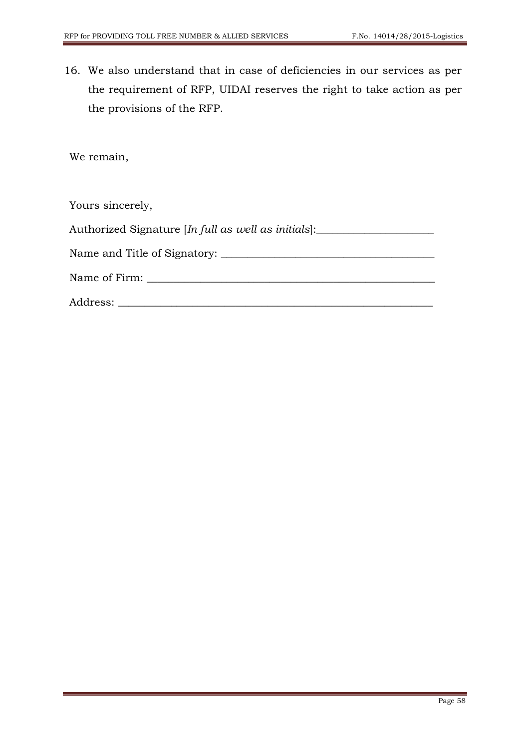16. We also understand that in case of deficiencies in our services as per the requirement of RFP, UIDAI reserves the right to take action as per the provisions of the RFP.

We remain,

Yours sincerely,

| Authorized Signature [In full as well as initials]: |  |  |  |
|-----------------------------------------------------|--|--|--|
|                                                     |  |  |  |

Name and Title of Signatory: \_\_\_\_\_\_\_\_\_\_\_\_\_\_\_\_\_\_\_\_\_\_\_\_\_\_\_\_\_\_\_\_\_\_\_\_\_\_\_\_

Name of Firm: \_\_\_\_\_\_\_\_\_\_\_\_\_\_\_\_\_\_\_\_\_\_\_\_\_\_\_\_\_\_\_\_\_\_\_\_\_\_\_\_\_\_\_\_\_\_\_\_\_\_\_\_\_\_

Address: \_\_\_\_\_\_\_\_\_\_\_\_\_\_\_\_\_\_\_\_\_\_\_\_\_\_\_\_\_\_\_\_\_\_\_\_\_\_\_\_\_\_\_\_\_\_\_\_\_\_\_\_\_\_\_\_\_\_\_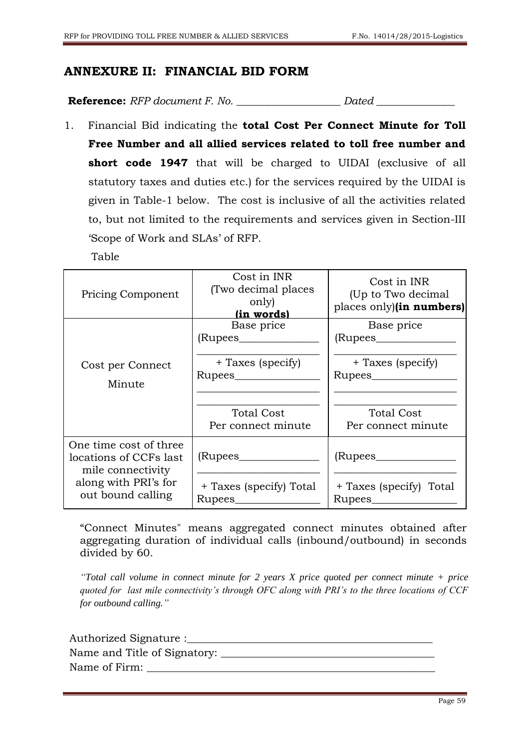#### <span id="page-58-0"></span>**ANNEXURE II: FINANCIAL BID FORM**

**Reference:** *RFP document F. No. \_\_\_\_\_\_\_\_\_\_\_\_\_\_\_\_\_\_\_\_ Dated \_\_\_\_\_\_\_\_\_\_\_\_\_\_\_*

1. Financial Bid indicating the **total Cost Per Connect Minute for Toll Free Number and all allied services related to toll free number and short code 1947** that will be charged to UIDAI (exclusive of all statutory taxes and duties etc.) for the services required by the UIDAI is given in Table-1 below. The cost is inclusive of all the activities related to, but not limited to the requirements and services given in Section-III "Scope of Work and SLAs" of RFP.

Table

| <b>Pricing Component</b>                                              | Cost in INR<br>Two decimal places<br>only)<br>(in words)                       | Cost in INR<br>(Up to Two decimal<br>places only)(in numbers)                    |
|-----------------------------------------------------------------------|--------------------------------------------------------------------------------|----------------------------------------------------------------------------------|
| Cost per Connect<br>Minute                                            | Base price<br>(Rupees__________<br>+ Taxes (specify)<br>Rupees________________ | Base price<br>(Rupees__________<br>+ Taxes (specify)<br>Rupees__________________ |
|                                                                       | Total Cost<br>Per connect minute                                               | <b>Total Cost</b><br>Per connect minute                                          |
| One time cost of three<br>locations of CCFs last<br>mile connectivity | (Rupees____________                                                            | (Rupees_______                                                                   |
| along with PRI's for<br>out bound calling                             | + Taxes (specify) Total                                                        | + Taxes (specify) Total                                                          |

"Connect Minutes" means aggregated connect minutes obtained after aggregating duration of individual calls (inbound/outbound) in seconds divided by 60.

*"Total call volume in connect minute for 2 years X price quoted per connect minute + price quoted for last mile connectivity's through OFC along with PRI's to the three locations of CCF for outbound calling."*

| Authorized Signature :_      |
|------------------------------|
| Name and Title of Signatory: |
| Name of Firm:                |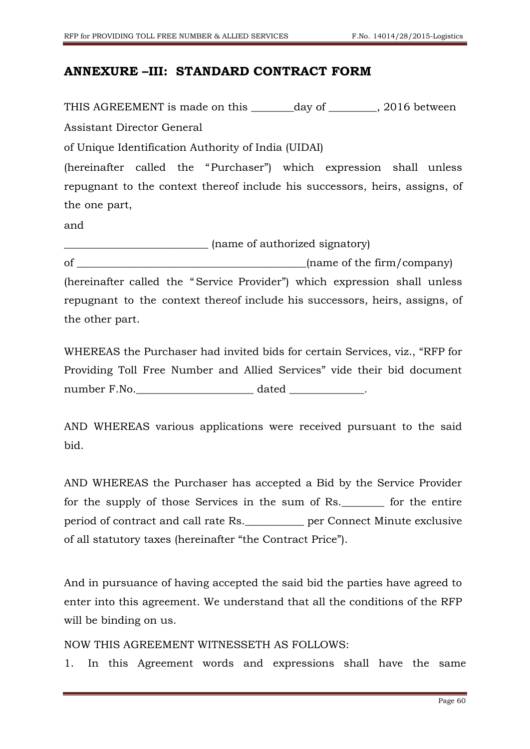## <span id="page-59-0"></span>**ANNEXURE –III: STANDARD CONTRACT FORM**

THIS AGREEMENT is made on this \_\_\_\_\_\_\_day of \_\_\_\_\_\_\_, 2016 between Assistant Director General

of Unique Identification Authority of India (UIDAI)

(hereinafter called the "Purchaser") which expression shall unless repugnant to the context thereof include his successors, heirs, assigns, of the one part,

and

\_\_\_\_\_\_\_\_\_\_\_\_\_\_\_\_\_\_\_\_\_\_\_\_\_\_\_ (name of authorized signatory) of \_\_\_\_\_\_\_\_\_\_\_\_\_\_\_\_\_\_\_\_\_\_\_\_\_\_\_\_\_\_\_\_\_\_\_\_\_\_\_\_\_\_\_(name of the firm/company) (hereinafter called the "Service Provider") which expression shall unless repugnant to the context thereof include his successors, heirs, assigns, of the other part.

WHEREAS the Purchaser had invited bids for certain Services, viz., "RFP for Providing Toll Free Number and Allied Services" vide their bid document number F.No.\_\_\_\_\_\_\_\_\_\_\_\_\_\_\_\_\_\_\_\_\_\_ dated \_\_\_\_\_\_\_\_\_\_\_\_\_\_.

AND WHEREAS various applications were received pursuant to the said bid.

AND WHEREAS the Purchaser has accepted a Bid by the Service Provider for the supply of those Services in the sum of Rs.\_\_\_\_\_\_\_\_ for the entire period of contract and call rate Rs.\_\_\_\_\_\_\_\_\_\_\_ per Connect Minute exclusive of all statutory taxes (hereinafter "the Contract Price").

And in pursuance of having accepted the said bid the parties have agreed to enter into this agreement. We understand that all the conditions of the RFP will be binding on us.

NOW THIS AGREEMENT WITNESSETH AS FOLLOWS:

1. In this Agreement words and expressions shall have the same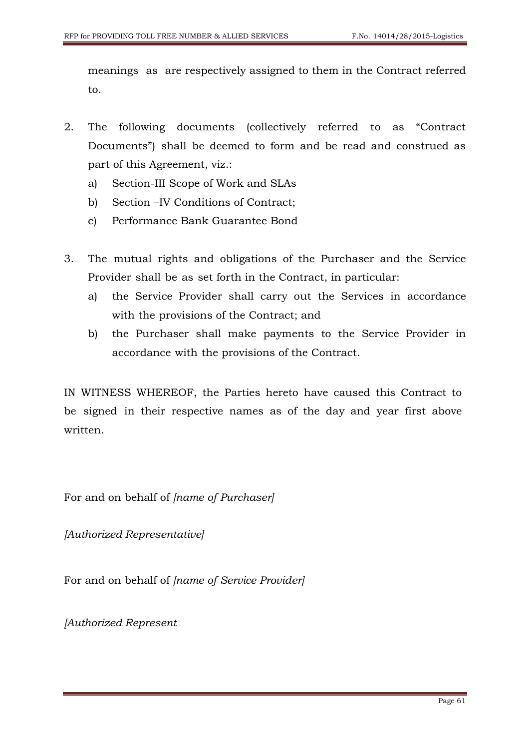meanings as are respectively assigned to them in the Contract referred to.

- 2. The following documents (collectively referred to as "Contract Documents") shall be deemed to form and be read and construed as part of this Agreement, viz.:
	- a) Section-III Scope of Work and SLAs
	- b) Section –IV Conditions of Contract;
	- c) Performance Bank Guarantee Bond
- 3. The mutual rights and obligations of the Purchaser and the Service Provider shall be as set forth in the Contract, in particular:
	- a) the Service Provider shall carry out the Services in accordance with the provisions of the Contract; and
	- b) the Purchaser shall make payments to the Service Provider in accordance with the provisions of the Contract.

IN WITNESS WHEREOF, the Parties hereto have caused this Contract to be signed in their respective names as of the day and year first above written.

For and on behalf of *[name of Purchaser]*

*[Authorized Representative]*

For and on behalf of *[name of Service Provider]*

*[Authorized Represent*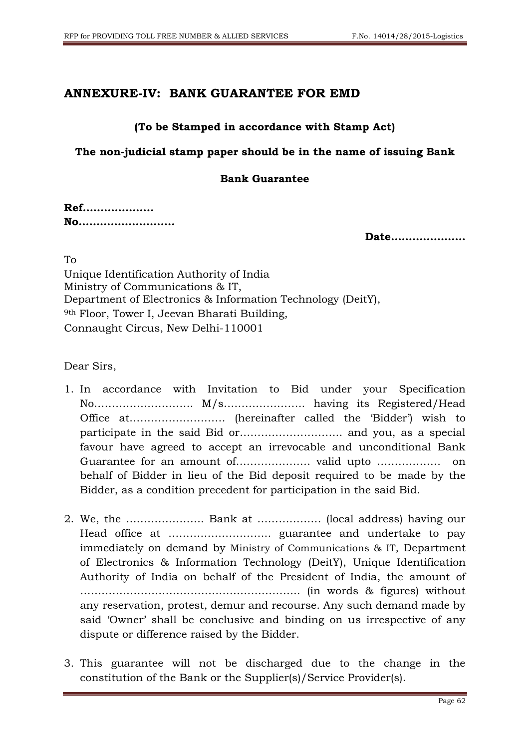## <span id="page-61-0"></span>**ANNEXURE-IV: BANK GUARANTEE FOR EMD**

#### **(To be Stamped in accordance with Stamp Act)**

#### **The non-judicial stamp paper should be in the name of issuing Bank**

#### **Bank Guarantee**

| Ref |  |  |  |  |  |  |  |  |  |  |  |  |
|-----|--|--|--|--|--|--|--|--|--|--|--|--|
|     |  |  |  |  |  |  |  |  |  |  |  |  |

**Date…………………**

To

Unique Identification Authority of India Ministry of Communications & IT, Department of Electronics & Information Technology (DeitY), <sup>9th</sup> Floor, Tower I, Jeevan Bharati Building, Connaught Circus, New Delhi-110001

Dear Sirs,

- 1. In accordance with Invitation to Bid under your Specification No………………………. M/s………………….. having its Registered/Head Office at……………………… (hereinafter called the "Bidder") wish to participate in the said Bid or……………………….. and you, as a special favour have agreed to accept an irrevocable and unconditional Bank Guarantee for an amount of………………… valid upto ……………… on behalf of Bidder in lieu of the Bid deposit required to be made by the Bidder, as a condition precedent for participation in the said Bid.
- 2. We, the …………………. Bank at ……………… (local address) having our Head office at ……………………….. guarantee and undertake to pay immediately on demand by Ministry of Communications & IT, Department of Electronics & Information Technology (DeitY), Unique Identification Authority of India on behalf of the President of India, the amount of …………………………………………………….. (in words & figures) without any reservation, protest, demur and recourse. Any such demand made by said 'Owner' shall be conclusive and binding on us irrespective of any dispute or difference raised by the Bidder.
- 3. This guarantee will not be discharged due to the change in the constitution of the Bank or the Supplier(s)/Service Provider(s).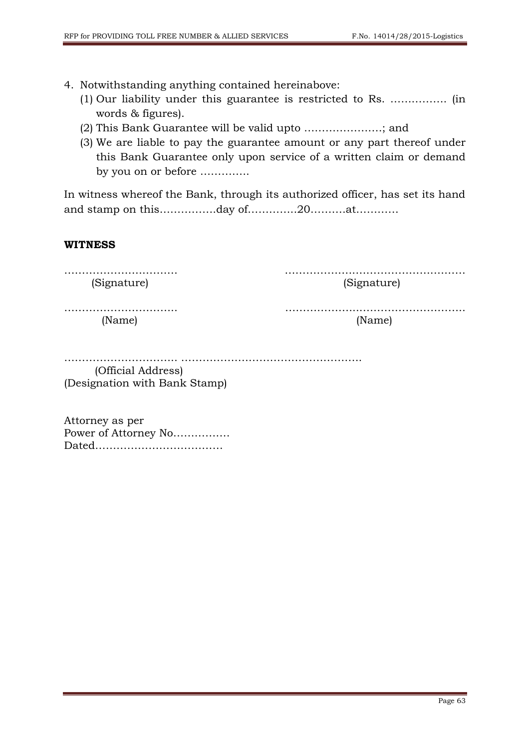- 4. Notwithstanding anything contained hereinabove:
	- (1) Our liability under this guarantee is restricted to Rs. ……………. (in words & figures).
	- (2) This Bank Guarantee will be valid upto ………………….; and
	- (3) We are liable to pay the guarantee amount or any part thereof under this Bank Guarantee only upon service of a written claim or demand by you on or before …………..

In witness whereof the Bank, through its authorized officer, has set its hand and stamp on this…………….day of…………..20……….at…………

#### **WITNESS**

………………….………. ………………..………………….……… (Signature) (Signature)

………………………….. ………………....……………………….. (Name) (Name)

………………………….. ……………….………………………….. (Official Address) (Designation with Bank Stamp)

Attorney as per Power of Attorney No……………. Dated………………………………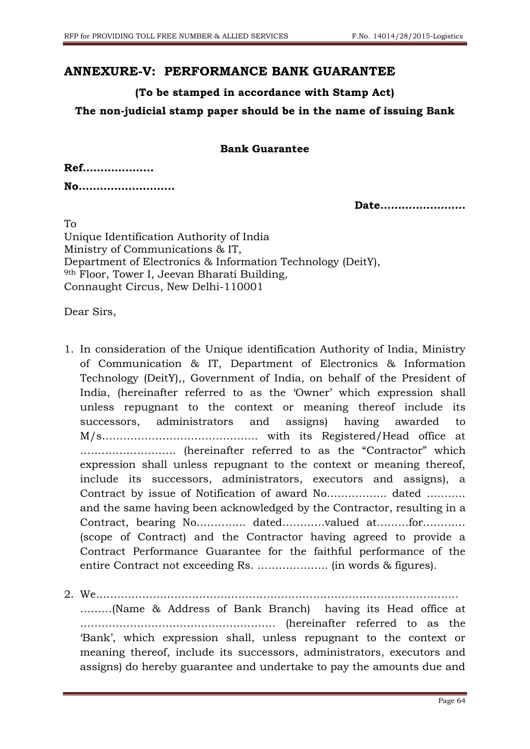#### <span id="page-63-0"></span>**ANNEXURE-V: PERFORMANCE BANK GUARANTEE**

#### **(To be stamped in accordance with Stamp Act)**

#### **The non-judicial stamp paper should be in the name of issuing Bank**

#### **Bank Guarantee**

**Ref……………….. No…………………......**

**Date……………………**

To

Unique Identification Authority of India Ministry of Communications & IT, Department of Electronics & Information Technology (DeitY), <sup>9th</sup> Floor, Tower I, Jeevan Bharati Building, Connaught Circus, New Delhi-110001

Dear Sirs,

- 1. In consideration of the Unique identification Authority of India, Ministry of Communication & IT, Department of Electronics & Information Technology (DeitY),, Government of India, on behalf of the President of India, (hereinafter referred to as the 'Owner' which expression shall unless repugnant to the context or meaning thereof include its successors, administrators and assigns) having awarded to M/s…………………………………….. with its Registered/Head office at ……………………… (hereinafter referred to as the "Contractor" which expression shall unless repugnant to the context or meaning thereof, include its successors, administrators, executors and assigns), a Contract by issue of Notification of award No…………….. dated ……….. and the same having been acknowledged by the Contractor, resulting in a Contract, bearing No………….. dated…………valued at………for………… (scope of Contract) and the Contractor having agreed to provide a Contract Performance Guarantee for the faithful performance of the entire Contract not exceeding Rs. ……………….. (in words & figures).
- 2. We………………………………………………………………………………………… ………(Name & Address of Bank Branch) having its Head office at ………………………………………………. (hereinafter referred to as the 'Bank', which expression shall, unless repugnant to the context or meaning thereof, include its successors, administrators, executors and assigns) do hereby guarantee and undertake to pay the amounts due and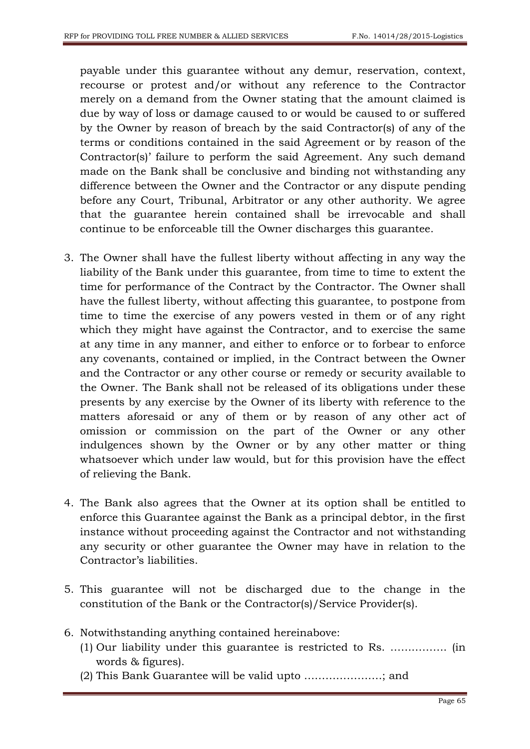payable under this guarantee without any demur, reservation, context, recourse or protest and/or without any reference to the Contractor merely on a demand from the Owner stating that the amount claimed is due by way of loss or damage caused to or would be caused to or suffered by the Owner by reason of breach by the said Contractor(s) of any of the terms or conditions contained in the said Agreement or by reason of the Contractor(s)" failure to perform the said Agreement. Any such demand made on the Bank shall be conclusive and binding not withstanding any difference between the Owner and the Contractor or any dispute pending before any Court, Tribunal, Arbitrator or any other authority. We agree that the guarantee herein contained shall be irrevocable and shall continue to be enforceable till the Owner discharges this guarantee.

- 3. The Owner shall have the fullest liberty without affecting in any way the liability of the Bank under this guarantee, from time to time to extent the time for performance of the Contract by the Contractor. The Owner shall have the fullest liberty, without affecting this guarantee, to postpone from time to time the exercise of any powers vested in them or of any right which they might have against the Contractor, and to exercise the same at any time in any manner, and either to enforce or to forbear to enforce any covenants, contained or implied, in the Contract between the Owner and the Contractor or any other course or remedy or security available to the Owner. The Bank shall not be released of its obligations under these presents by any exercise by the Owner of its liberty with reference to the matters aforesaid or any of them or by reason of any other act of omission or commission on the part of the Owner or any other indulgences shown by the Owner or by any other matter or thing whatsoever which under law would, but for this provision have the effect of relieving the Bank.
- 4. The Bank also agrees that the Owner at its option shall be entitled to enforce this Guarantee against the Bank as a principal debtor, in the first instance without proceeding against the Contractor and not withstanding any security or other guarantee the Owner may have in relation to the Contractor's liabilities.
- 5. This guarantee will not be discharged due to the change in the constitution of the Bank or the Contractor(s)/Service Provider(s).
- 6. Notwithstanding anything contained hereinabove:
	- (1) Our liability under this guarantee is restricted to Rs. ……………. (in words & figures).
	- (2) This Bank Guarantee will be valid upto ………………….; and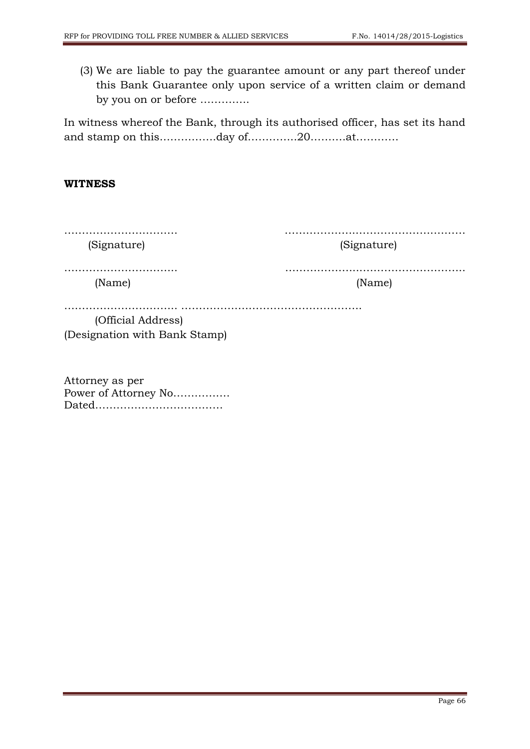(3) We are liable to pay the guarantee amount or any part thereof under this Bank Guarantee only upon service of a written claim or demand by you on or before …………..

In witness whereof the Bank, through its authorised officer, has set its hand and stamp on this…………….day of…………..20……….at…………

#### **WITNESS**

(Signature) (Signature)

………………….………. ………………..………………….………

………………………….. ………………....……………………….. (Name) (Name)

……………………………………………………………………………………… (Official Address)

(Designation with Bank Stamp)

Attorney as per Power of Attorney No……………. Dated………………………………